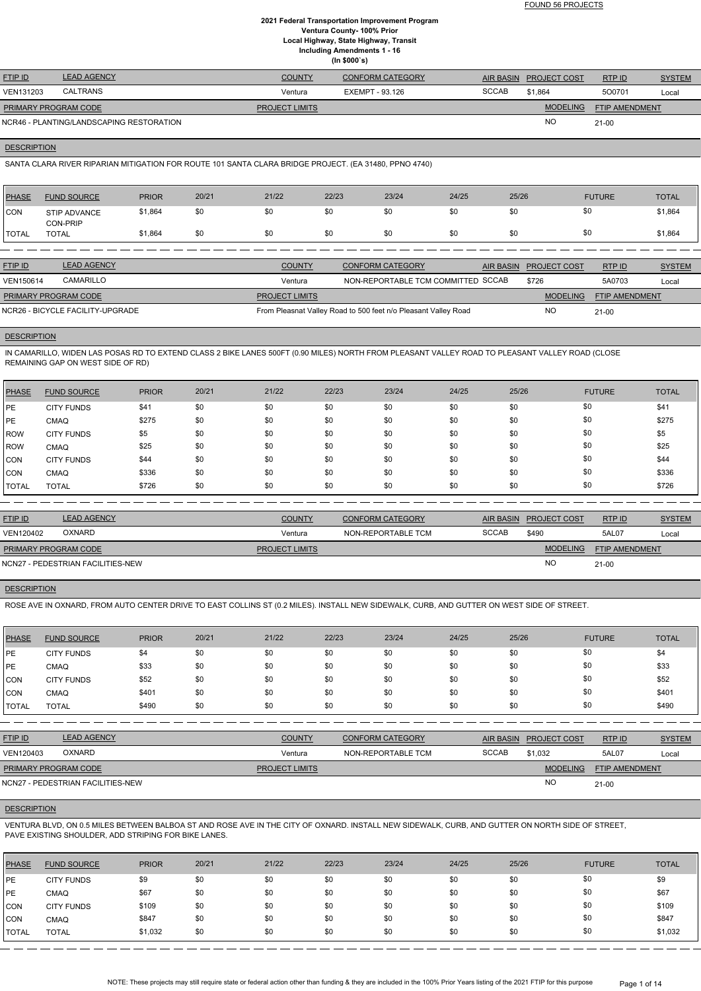| <b>FTIP ID</b>              | <b>LEAD AGENCY</b>                       | <b>COUNTY</b>         | <b>CONFORM CATEGORY</b> |              | AIR BASIN PROJECT COST | RTP ID                | <b>SYSTEM</b> |
|-----------------------------|------------------------------------------|-----------------------|-------------------------|--------------|------------------------|-----------------------|---------------|
| VEN131203                   | <b>CALTRANS</b>                          | Ventura               | EXEMPT - 93.126         | <b>SCCAB</b> | \$1.864                | 500701                | Local         |
| <b>PRIMARY PROGRAM CODE</b> |                                          | <b>PROJECT LIMITS</b> |                         |              | <b>MODELING</b>        | <b>FTIP AMENDMENT</b> |               |
|                             | NCR46 - PLANTING/LANDSCAPING RESTORATION |                       |                         |              | <b>NC</b>              | $21 - 00$             |               |

**DESCRIPTION** 

SANTA CLARA RIVER RIPARIAN MITIGATION FOR ROUTE 101 SANTA CLARA BRIDGE PROJECT. (EA 31480, PPNO 4740)

| <b>PHASE</b>   | <b>FUND SOURCE</b>               | <b>PRIOR</b> | 20/21 | 21/22                 | 22/23 | 23/24                                                          | 24/25 | 25/26            |                     | <b>FUTURE</b>         | <b>TOTAL</b>  |
|----------------|----------------------------------|--------------|-------|-----------------------|-------|----------------------------------------------------------------|-------|------------------|---------------------|-----------------------|---------------|
| <b>CON</b>     | STIP ADVANCE<br>CON-PRIP         | \$1,864      | \$0   | \$0                   | \$0   | \$0                                                            | \$0   | \$0              | \$0                 |                       | \$1,864       |
| <b>ITOTAL</b>  | <b>TOTAL</b>                     | \$1,864      | \$0   | \$0                   | \$0   | \$0                                                            | \$0   | \$0              | \$0                 |                       | \$1,864       |
|                |                                  |              |       |                       |       |                                                                |       |                  |                     |                       |               |
| <b>FTIP ID</b> | <b>LEAD AGENCY</b>               |              |       | <b>COUNTY</b>         |       | <b>CONFORM CATEGORY</b>                                        |       | <b>AIR BASIN</b> | <b>PROJECT COST</b> | RTPID                 | <b>SYSTEM</b> |
| VEN150614      | CAMARILLO                        |              |       | Ventura               |       | NON-REPORTABLE TCM COMMITTED SCCAB                             |       |                  | \$726               | 5A0703                | Local         |
|                | PRIMARY PROGRAM CODE             |              |       | <b>PROJECT LIMITS</b> |       |                                                                |       |                  | <b>MODELING</b>     | <b>FTIP AMENDMENT</b> |               |
|                | NCR26 - BICYCLE FACILITY-UPGRADE |              |       |                       |       | From Pleasnat Valley Road to 500 feet n/o Pleasant Valley Road |       |                  | <b>NO</b>           | $21 - 00$             |               |

**DESCRIPTION** 

IN CAMARILLO, WIDEN LAS POSAS RD TO EXTEND CLASS 2 BIKE LANES 500FT (0.90 MILES) NORTH FROM PLEASANT VALLEY ROAD TO PLEASANT VALLEY ROAD (CLOSE REMAINING GAP ON WEST SIDE OF RD)

| <b>PHASE</b> | <b>FUND SOURCE</b> | <b>PRIOR</b> | 20/21 | 21/22 | 22/23 | 23/24 | 24/25 | 25/26 | <b>FUTURE</b> | <b>TOTAL</b> |
|--------------|--------------------|--------------|-------|-------|-------|-------|-------|-------|---------------|--------------|
| <b>IPE</b>   | <b>CITY FUNDS</b>  | \$41         | \$0   | \$0   | \$0   | \$0   | \$0   | \$0   | \$0           | \$41         |
| <b>IPE</b>   | <b>CMAQ</b>        | \$275        | \$0   | \$0   | \$0   | \$0   | \$0   | \$0   | \$0           | \$275        |
| <b>IROW</b>  | <b>CITY FUNDS</b>  | \$5          | \$0   | \$0   | \$0   | \$0   | \$0   | \$0   | \$0           | \$5          |
| ROW          | <b>CMAQ</b>        | \$25         | \$0   | \$0   | \$0   | \$0   | \$0   | \$0   | \$0           | \$25         |
| CON          | <b>CITY FUNDS</b>  | \$44         | \$0   | \$0   | \$0   | \$0   | \$0   | \$0   | \$0           | \$44         |
| CON          | <b>CMAQ</b>        | \$336        | \$0   | \$0   | \$0   | \$0   | \$0   | \$0   | \$0           | \$336        |
| <b>TOTAL</b> | <b>TOTAL</b>       | \$726        | \$0   | \$0   | \$0   | \$0   | \$0   | \$0   | \$0           | \$726        |

| <b>FTIP ID</b>              | <b>LEAD AGENCY</b>                | <b>COUNTY</b>         | <b>CONFORM CATEGORY</b> |              | AIR BASIN PROJECT COST | RTP ID                | <b>SYSTEM</b> |
|-----------------------------|-----------------------------------|-----------------------|-------------------------|--------------|------------------------|-----------------------|---------------|
| VEN120402                   | <b>OXNARD</b>                     | Ventura               | NON-REPORTABLE TCM      | <b>SCCAB</b> | \$490                  | 5AL07                 | Local         |
| <b>PRIMARY PROGRAM CODE</b> |                                   | <b>PROJECT LIMITS</b> |                         |              | <b>MODELING</b>        | <b>FTIP AMENDMENT</b> |               |
|                             | NCN27 - PEDESTRIAN FACILITIES-NEW |                       |                         |              | <b>NO</b>              | $21-00$               |               |

## **DESCRIPTION**

ROSE AVE IN OXNARD, FROM AUTO CENTER DRIVE TO EAST COLLINS ST (0.2 MILES). INSTALL NEW SIDEWALK, CURB, AND GUTTER ON WEST SIDE OF STREET.

| <b>PHASE</b> | <b>FUND SOURCE</b> | <b>PRIOR</b> | 20/21 | 21/22 | 22/23 | 23/24 | 24/25 | 25/26 | <b>FUTURE</b> | <b>TOTAL</b> |
|--------------|--------------------|--------------|-------|-------|-------|-------|-------|-------|---------------|--------------|
| <b>IPE</b>   | <b>CITY FUNDS</b>  | \$4          | \$0   | \$0   | \$0   | \$0   | \$0   | \$0   | \$0           | \$4          |
| <b>IPE</b>   | <b>CMAQ</b>        | \$33         | \$0   | \$0   | \$0   | \$0   | \$0   | \$0   | \$0           | \$33         |
| CON          | <b>CITY FUNDS</b>  | \$52         | \$0   | \$0   | \$0   | \$0   | \$0   | \$0   | \$0           | \$52         |
| CON          | <b>CMAQ</b>        | \$401        | \$0   | \$0   | \$0   | \$0   | \$0   | \$0   | \$0           | \$401        |
| <b>TOTAL</b> | <b>TOTAL</b>       | \$490        | \$0   | \$0   | \$0   | \$0   | \$0   | \$0   | \$0           | \$490        |

RTP ID

| <b>OXNARD</b><br>VEN120403        | Ventura               | NON-REPORTABLE TCM | <b>SCCAB</b> | \$1.032         | 5AL07                 | Local |
|-----------------------------------|-----------------------|--------------------|--------------|-----------------|-----------------------|-------|
| <b>PRIMARY PROGRAM CODE</b>       | <b>PROJECT LIMITS</b> |                    |              | <b>MODELING</b> | <b>FTIP AMENDMENT</b> |       |
| NCN27 - PEDESTRIAN FACILITIES-NEW |                       |                    |              | <b>NO</b>       | $21 - 00$             |       |

#### **DESCRIPTION**

VENTURA BLVD, ON 0.5 MILES BETWEEN BALBOA ST AND ROSE AVE IN THE CITY OF OXNARD. INSTALL NEW SIDEWALK, CURB, AND GUTTER ON NORTH SIDE OF STREET, PAVE EXISTING SHOULDER, ADD STRIPING FOR BIKE LANES.

| PHASE        | <b>FUND SOURCE</b> | <b>PRIOR</b> | 20/21 | 21/22 | 22/23 | 23/24 | 24/25 | 25/26 | <b>FUTURE</b> | <b>TOTAL</b> |
|--------------|--------------------|--------------|-------|-------|-------|-------|-------|-------|---------------|--------------|
| IPE          | <b>CITY FUNDS</b>  | \$9          | \$0   | \$0   | \$0   | \$0   | \$0   | \$0   | \$0           | \$9          |
| PE           | <b>CMAQ</b>        | \$67         | \$0   | \$0   | \$0   | \$0   | \$0   | \$0   | \$0           | \$67         |
| CON          | <b>CITY FUNDS</b>  | \$109        | \$0   | \$0   | \$0   | \$0   | \$0   | \$0   | \$0           | \$109        |
| CON          | <b>CMAQ</b>        | \$847        | \$0   | \$0   | \$0   | \$0   | \$0   | \$0   | \$0           | \$847        |
| <b>TOTAL</b> | <b>TOTAL</b>       | \$1,032      | \$0   | \$0   | \$0   | \$0   | \$0   | \$0   | \$0           | \$1,032      |

NOTE: These projects may still require state or federal action other than funding & they are included in the 100% Prior Years listing of the 2021 FTIP for this purpose Page 1 of 14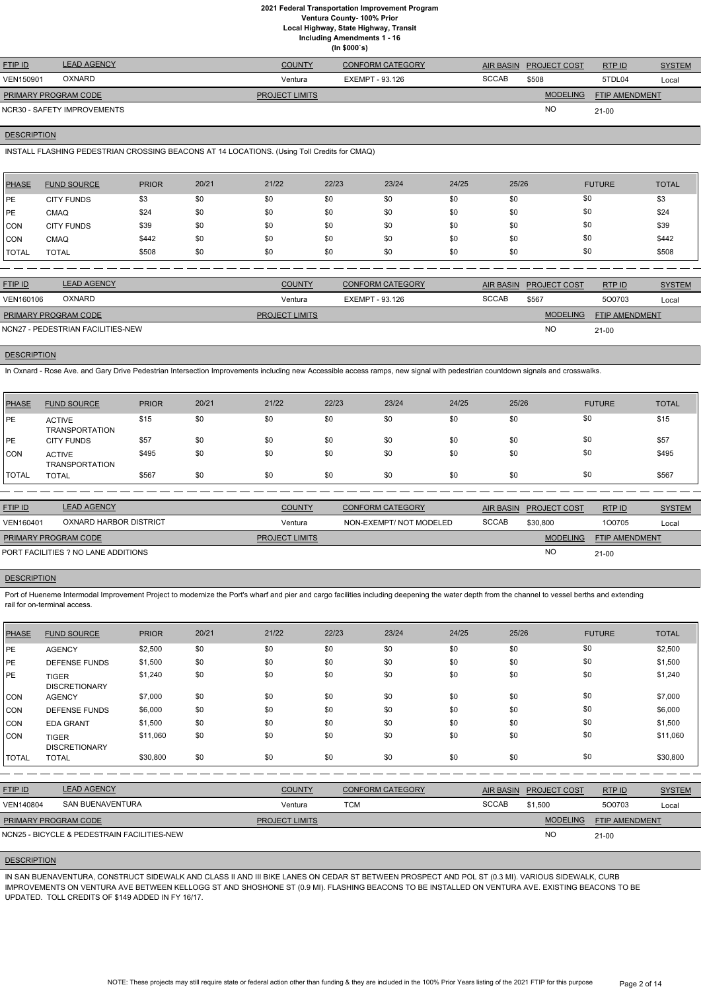**Ventura County- 100% Prior**

**Local Highway, State Highway, Transit**

**Including Amendments 1 - 16**

| (ln \$000's) |
|--------------|
|              |

| <b>FTIP ID</b>              | <b>LEAD AGENCY</b>          | <b>COUNTY</b>         | <b>CONFORM CATEGORY</b> | AIR BASIN    | <b>PROJECT COST</b> | RTP ID                | <b>SYSTEM</b> |
|-----------------------------|-----------------------------|-----------------------|-------------------------|--------------|---------------------|-----------------------|---------------|
| <b>VEN150901</b>            | <b>OXNARD</b>               | Ventura               | EXEMPT - 93.126         | <b>SCCAB</b> | \$508               | 5TDL04                | Local         |
| <b>PRIMARY PROGRAM CODE</b> |                             | <b>PROJECT LIMITS</b> |                         |              | <b>MODELING</b>     | <b>FTIP AMENDMENT</b> |               |
|                             | NCR30 - SAFETY IMPROVEMENTS |                       |                         |              | <b>NO</b>           | $21 - 00$             |               |

## **DESCRIPTION**

INSTALL FLASHING PEDESTRIAN CROSSING BEACONS AT 14 LOCATIONS. (Using Toll Credits for CMAQ)

| <b>PHASE</b> | <b>FUND SOURCE</b> | <b>PRIOR</b> | 20/21 | 21/22 | 22/23 | 23/24 | 24/25 | 25/26 | <b>FUTURE</b> | <b>TOTAL</b> |
|--------------|--------------------|--------------|-------|-------|-------|-------|-------|-------|---------------|--------------|
| <b>IPE</b>   | <b>CITY FUNDS</b>  | \$3          | \$0   | \$0   | \$0   | \$0   | \$0   | \$0   | \$0           | \$3          |
| <b>IPE</b>   | <b>CMAQ</b>        | \$24         | \$0   | \$0   | \$0   | \$0   | \$0   | \$0   | \$0           | \$24         |
| CON          | <b>CITY FUNDS</b>  | \$39         | \$0   | \$0   | \$0   | \$0   | \$0   | \$0   | \$0           | \$39         |
| <b>CON</b>   | <b>CMAQ</b>        | \$442        | \$0   | \$0   | \$0   | \$0   | \$0   | \$0   | \$0           | \$442        |
| <b>TOTAL</b> | <b>TOTAL</b>       | \$508        | \$0   | \$0   | \$0   | \$0   | \$0   | \$0   | \$0           | \$508        |

| <b>FTIP ID</b>       | <b>LEAD AGENCY</b>                | <b>COUNTY</b>         | <b>CONFORM CATEGORY</b> |              | AIR BASIN PROJECT COST | RTP ID                | <b>SYSTEM</b> |
|----------------------|-----------------------------------|-----------------------|-------------------------|--------------|------------------------|-----------------------|---------------|
| VEN160106            | <b>OXNARD</b>                     | Ventura               | EXEMPT - 93.126         | <b>SCCAB</b> | \$567                  | 500703                | Local         |
| PRIMARY PROGRAM CODE |                                   | <b>PROJECT LIMITS</b> |                         |              | <b>MODELING</b>        | <b>FTIP AMENDMENT</b> |               |
|                      | NCN27 - PEDESTRIAN FACILITIES-NEW |                       |                         |              | <b>NC</b>              | $21-00$               |               |
|                      |                                   |                       |                         |              |                        |                       |               |

# **DESCRIPTION**

Port of Hueneme Intermodal Improvement Project to modernize the Port's wharf and pier and cargo facilities including deepening the water depth from the channel to vessel berths and extending rail for on-terminal access.

In Oxnard - Rose Ave. and Gary Drive Pedestrian Intersection Improvements including new Accessible access ramps, new signal with pedestrian countdown signals and crosswalks.

| PHASE        | <b>FUND SOURCE</b>              | <b>PRIOR</b> | 20/21 | 21/22 | 22/23 | 23/24 | 24/25 | 25/26 | <b>FUTURE</b> | <b>TOTAL</b> |
|--------------|---------------------------------|--------------|-------|-------|-------|-------|-------|-------|---------------|--------------|
| <b>IPE</b>   | <b>ACTIVE</b><br>TRANSPORTATION | \$15         | \$0   | \$0   | \$0   | \$0   | \$0   | \$0   | \$0           | \$15         |
| PE           | <b>CITY FUNDS</b>               | \$57         | \$0   | \$0   | \$0   | \$0   | \$0   | \$0   | \$0           | \$57         |
| CON          | <b>ACTIVE</b><br>TRANSPORTATION | \$495        | \$0   | \$0   | \$0   | \$0   | \$0   | \$0   | \$0           | \$495        |
| <b>TOTAL</b> | <b>TOTAL</b>                    | \$567        | \$0   | \$0   | \$0   | \$0   | \$0   | \$0   | \$0           | \$567        |

| <b>FTIP ID</b>              | <b>LEAD AGENCY</b>                  | <b>COUNTY</b>         | <b>CONFORM CATEGORY</b> |              | AIR BASIN PROJECT COST | RTPID                 | <b>SYSTEM</b> |
|-----------------------------|-------------------------------------|-----------------------|-------------------------|--------------|------------------------|-----------------------|---------------|
| VEN160401                   | OXNARD HARBOR DISTRICT              | Ventura               | NON-EXEMPT/NOT MODELED  | <b>SCCAB</b> | \$30,800               | 100705                | Local         |
| <b>PRIMARY PROGRAM CODE</b> |                                     | <b>PROJECT LIMITS</b> |                         |              | <b>MODELING</b>        | <b>FTIP AMENDMENT</b> |               |
|                             | PORT FACILITIES ? NO LANE ADDITIONS |                       |                         |              | NO.                    | $21 - 00$             |               |

## **DESCRIPTION**

| PHASE                                       | <b>FUND SOURCE</b>                   | <b>PRIOR</b> | 20/21 | 21/22                 | 22/23      | 23/24                   | 24/25        | 25/26            |                     | <b>FUTURE</b>         | <b>TOTAL</b>  |
|---------------------------------------------|--------------------------------------|--------------|-------|-----------------------|------------|-------------------------|--------------|------------------|---------------------|-----------------------|---------------|
| PE                                          | <b>AGENCY</b>                        | \$2,500      | \$0   | \$0                   | \$0        | \$0                     | \$0          | \$0              | \$0                 |                       | \$2,500       |
| <b>PE</b>                                   | <b>DEFENSE FUNDS</b>                 | \$1,500      | \$0   | \$0                   | \$0        | \$0                     | \$0          | \$0              | \$0                 |                       | \$1,500       |
| PE                                          | <b>TIGER</b><br><b>DISCRETIONARY</b> | \$1,240      | \$0   | \$0                   | \$0        | \$0                     | \$0          | \$0              | \$0                 |                       | \$1,240       |
| CON                                         | <b>AGENCY</b>                        | \$7,000      | \$0   | \$0                   | \$0        | \$0                     | \$0          | \$0              | \$0                 |                       | \$7,000       |
| <b>CON</b>                                  | <b>DEFENSE FUNDS</b>                 | \$6,000      | \$0   | \$0                   | \$0        | \$0                     | \$0          | \$0              | \$0                 |                       | \$6,000       |
| <b>CON</b>                                  | <b>EDA GRANT</b>                     | \$1,500      | \$0   | \$0                   | \$0        | \$0                     | \$0          | \$0              | \$0                 |                       | \$1,500       |
| <b>CON</b>                                  | <b>TIGER</b><br><b>DISCRETIONARY</b> | \$11,060     | \$0   | \$0                   | \$0        | \$0                     | \$0          | \$0              | \$0                 |                       | \$11,060      |
| <b>TOTAL</b>                                | <b>TOTAL</b>                         | \$30,800     | \$0   | \$0                   | \$0        | \$0                     | \$0          | \$0              | \$0                 |                       | \$30,800      |
|                                             |                                      |              |       |                       |            |                         |              |                  |                     |                       |               |
| FTIP ID                                     | <b>LEAD AGENCY</b>                   |              |       | <b>COUNTY</b>         |            | <b>CONFORM CATEGORY</b> |              | <b>AIR BASIN</b> | <b>PROJECT COST</b> | RTP ID                | <b>SYSTEM</b> |
| VEN140804                                   | <b>SAN BUENAVENTURA</b>              |              |       | Ventura               | <b>TCM</b> |                         | <b>SCCAB</b> |                  | \$1,500             | 500703                | Local         |
|                                             | PRIMARY PROGRAM CODE                 |              |       | <b>PROJECT LIMITS</b> |            |                         |              |                  | <b>MODELING</b>     | <b>FTIP AMENDMENT</b> |               |
| NCN25 - BICYCLE & PEDESTRAIN FACILITIES-NEW |                                      |              |       |                       |            |                         |              |                  | <b>NO</b>           | $21-00$               |               |

#### **DESCRIPTION**

IN SAN BUENAVENTURA, CONSTRUCT SIDEWALK AND CLASS II AND III BIKE LANES ON CEDAR ST BETWEEN PROSPECT AND POL ST (0.3 MI). VARIOUS SIDEWALK, CURB IMPROVEMENTS ON VENTURA AVE BETWEEN KELLOGG ST AND SHOSHONE ST (0.9 MI). FLASHING BEACONS TO BE INSTALLED ON VENTURA AVE. EXISTING BEACONS TO BE UPDATED. TOLL CREDITS OF \$149 ADDED IN FY 16/17.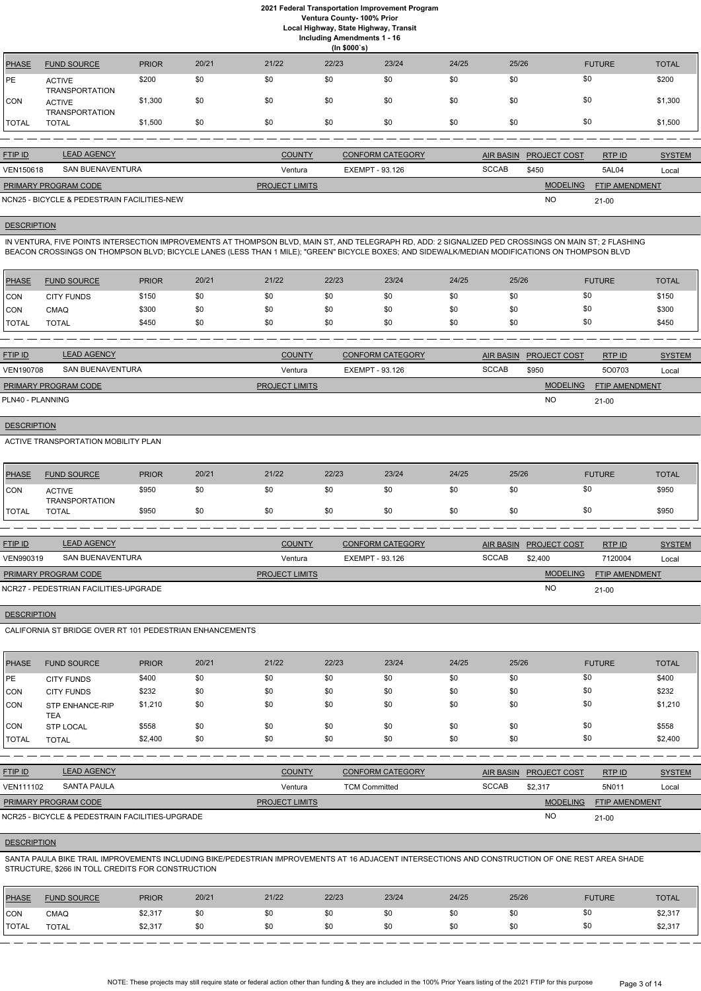## **2021 Federal Transportation Improvement Program Ventura County- 100% Prior**

**Local Highway, State Highway, Transit**

| <b>Including Amendments 1 - 16</b> |  |
|------------------------------------|--|
|                                    |  |

|                | (ln \$000's)                           |              |       |        |       |                   |       |                                     |                 |                    |  |
|----------------|----------------------------------------|--------------|-------|--------|-------|-------------------|-------|-------------------------------------|-----------------|--------------------|--|
| <b>PHASE</b>   | <b>FUND SOURCE</b>                     | <b>PRIOR</b> | 20/21 | 21/22  | 22/23 | 23/24             | 24/25 | 25/26                               | <b>FUTURE</b>   | <b>TOTAL</b>       |  |
| <b>PE</b>      | <b>ACTIVE</b><br><b>TRANSPORTATION</b> | \$200        | \$0   | \$0    | \$0   | \$0               | \$0   | \$0                                 | \$0             | \$200              |  |
| <b>CON</b>     | <b>ACTIVE</b><br><b>TRANSPORTATION</b> | \$1,300      | \$0   | \$0    | \$0   | \$0               | \$0   | \$0                                 | \$0             | \$1,300            |  |
| I TOTAL        | <b>TOTAL</b>                           | \$1,500      | \$0   | \$0    | \$0   | \$0               | \$0   | \$0                                 | \$0             | \$1,500            |  |
|                |                                        |              |       |        |       |                   |       |                                     |                 |                    |  |
| <b>CTID ID</b> | <b>LEAD ACENCY</b>                     |              |       | OMINTV |       | CONITODM CATECODY |       | $\triangle$ ID DAQINI DDQ IFAT QQQT | P <sub>CD</sub> | $\bigcap_{\alpha}$ |  |

| <b>FTIP ID</b>              | <b>LEAD AGENCY</b>                          | <b>COUNTY</b>         | <b>CONFORM CATEGORY</b> |              | AIR BASIN PROJECT COST | RTP ID                | <b>SYSTEM</b> |
|-----------------------------|---------------------------------------------|-----------------------|-------------------------|--------------|------------------------|-----------------------|---------------|
| VEN150618                   | SAN BUENAVENTURA                            | Ventura               | EXEMPT - 93.126         | <b>SCCAB</b> | \$450                  | 5AL04                 | Local         |
| <b>PRIMARY PROGRAM CODE</b> |                                             | <b>PROJECT LIMITS</b> |                         |              | <b>MODELING</b>        | <b>FTIP AMENDMENT</b> |               |
|                             | NCN25 - BICYCLE & PEDESTRAIN FACILITIES-NEW |                       |                         |              | <b>NC</b>              | $21-00$               |               |

# **DESCRIPTION**

IN VENTURA, FIVE POINTS INTERSECTION IMPROVEMENTS AT THOMPSON BLVD, MAIN ST, AND TELEGRAPH RD, ADD: 2 SIGNALIZED PED CROSSINGS ON MAIN ST; 2 FLASHING BEACON CROSSINGS ON THOMPSON BLVD; BICYCLE LANES (LESS THAN 1 MILE); "GREEN" BICYCLE BOXES; AND SIDEWALK/MEDIAN MODIFICATIONS ON THOMPSON BLVD

| PHASE        | <b>FUND SOURCE</b> | <b>PRIOR</b> | 20/21 | 21/22 | 22/23 | 23/24 | 24/25 | 25/26 | <b>FUTURE</b> | <b>TOTAL</b> |
|--------------|--------------------|--------------|-------|-------|-------|-------|-------|-------|---------------|--------------|
| <b>CON</b>   | <b>CITY FUNDS</b>  | \$150        | \$0   | \$0   | \$0   | \$0   | \$0   | \$0   | \$0           | \$150        |
| <b>CON</b>   | CMAQ               | \$300        | \$0   | \$0   | \$0   | \$0   | \$0   | \$0   | \$0           | \$300        |
| <b>TOTAL</b> | <b>TOTAL</b>       | \$450        | \$0   | \$0   | \$0   | \$0   | \$0   | \$0   | \$0           | \$450        |

| <b>FTIP ID</b>              | <b>LEAD AGENCY</b> | <b>COUNTY</b>         | <b>CONFORM CATEGORY</b> | AIR BASIN    | <b>PROJECT COST</b> | RTP ID                | <b>SYSTEM</b> |
|-----------------------------|--------------------|-----------------------|-------------------------|--------------|---------------------|-----------------------|---------------|
| <b>VEN190708</b>            | SAN BUENAVENTURA   | Ventura               | EXEMPT - 93.126         | <b>SCCAB</b> | \$950               | 500703                | Local         |
| <b>PRIMARY PROGRAM CODE</b> |                    | <b>PROJECT LIMITS</b> |                         |              | <b>MODELING</b>     | <b>FTIP AMENDMENT</b> |               |
| PLN40 - PLANNING            |                    |                       |                         |              | <b>NO</b>           | $21 - 00$             |               |

# **DESCRIPTION**

ACTIVE TRANSPORTATION MOBILITY PLAN

| PHASE        | <b>FUND SOURCE</b>              | <b>PRIOR</b> | 20/21 | 21/22 | 22/23 | 23/24 | 24/25 | 25/26 | <b>FUTURE</b> | <b>TOTAL</b> |
|--------------|---------------------------------|--------------|-------|-------|-------|-------|-------|-------|---------------|--------------|
| CON          | <b>ACTIVE</b><br>TRANSPORTATION | \$950        | \$0   | \$0   |       | \$0   | \$0   | \$0   |               | \$950        |
| <b>TOTAL</b> | <b>TOTAL</b>                    | \$950        | \$0   | \$0   |       | \$0   | \$0   | \$0   |               | \$950        |

| <b>FTIP ID</b>              | <b>LEAD AGENCY</b>                    | <b>COUNTY</b>         | <b>CONFORM CATEGORY</b> | AIR BASIN    | <b>PROJECT COST</b> | RTP ID                | <b>SYSTEM</b> |
|-----------------------------|---------------------------------------|-----------------------|-------------------------|--------------|---------------------|-----------------------|---------------|
| VEN990319                   | SAN BUENAVENTURA                      | Ventura               | EXEMPT - 93.126         | <b>SCCAB</b> | \$2,400             | 7120004               | Local         |
| <b>PRIMARY PROGRAM CODE</b> |                                       | <b>PROJECT LIMITS</b> |                         |              | <b>MODELING</b>     | <b>FTIP AMENDMENT</b> |               |
|                             | NCR27 - PEDESTRIAN FACILITIES-UPGRADE |                       |                         |              | NO                  | $21 - 00$             |               |

#### **DESCRIPTION**

CALIFORNIA ST BRIDGE OVER RT 101 PEDESTRIAN ENHANCEMENTS

| <b>PHASE</b> | <b>FUND SOURCE</b>            | <b>PRIOR</b> | 20/21 | 21/22 | 22/23 | 23/24 | 24/25 | 25/26 | <b>FUTURE</b> | <b>TOTAL</b> |
|--------------|-------------------------------|--------------|-------|-------|-------|-------|-------|-------|---------------|--------------|
| <b>IPE</b>   | <b>CITY FUNDS</b>             | \$400        | \$0   | \$0   | \$0   | \$0   | \$0   | \$0   | \$0           | \$400        |
| CON          | <b>CITY FUNDS</b>             | \$232        | \$0   | \$0   | \$0   | \$0   | \$0   | \$0   | \$0           | \$232        |
| CON          | <b>STP ENHANCE-RIP</b><br>TEA | \$1,210      | \$0   | \$0   | \$0   | \$0   | \$0   | \$0   | \$0           | \$1,210      |
| CON          | <b>STP LOCAL</b>              | \$558        | \$0   | \$0   | \$0   | \$0   | \$0   | \$0   | \$0           | \$558        |
| TOTAL        | <b>TOTAL</b>                  | \$2,400      | \$0   | \$0   | \$0   | \$0   | \$0   | \$0   | \$0           | \$2,400      |

| <b>FTIP ID</b>              | <b>LEAD AGENCY</b>                              | <b>COUNTY</b>         | <b>CONFORM CATEGORY</b> |              | AIR BASIN PROJECT COST | RTP ID                | <b>SYSTEM</b> |
|-----------------------------|-------------------------------------------------|-----------------------|-------------------------|--------------|------------------------|-----------------------|---------------|
| <b>VEN111102</b>            | SANTA PAULA                                     | Ventura               | <b>TCM Committed</b>    | <b>SCCAB</b> | \$2.317                | 5N011                 | Local         |
| <b>PRIMARY PROGRAM CODE</b> |                                                 | <b>PROJECT LIMITS</b> |                         |              | <b>MODELING</b>        | <b>FTIP AMENDMENT</b> |               |
|                             | NCR25 - BICYCLE & PEDESTRAIN FACILITIES-UPGRADE |                       |                         |              | <b>NO</b>              | $21 - 00$             |               |

## **DESCRIPTION**

SANTA PAULA BIKE TRAIL IMPROVEMENTS INCLUDING BIKE/PEDESTRIAN IMPROVEMENTS AT 16 ADJACENT INTERSECTIONS AND CONSTRUCTION OF ONE REST AREA SHADE STRUCTURE, \$266 IN TOLL CREDITS FOR CONSTRUCTION

| PHASE        | <b>FUND SOURCE</b> | <b>PRIOR</b> | 20/21 | 21/22 | 22/23 | 23/24 | 24/25 | 25/26 | <b>FUTURE</b> | <b>TOTAL</b> |
|--------------|--------------------|--------------|-------|-------|-------|-------|-------|-------|---------------|--------------|
| <b>CON</b>   | CMAQ               | \$2,317      | \$0   | \$0   | \$0   |       | \$0   | \$0   |               | \$2,317      |
| <b>TOTAL</b> | <b>TOTAL</b>       | \$2,317      | \$0   | \$0   | \$0   |       | \$0   | \$0   |               | \$2,317      |

NOTE: These projects may still require state or federal action other than funding & they are included in the 100% Prior Years listing of the 2021 FTIP for this purpose Page 3 of 14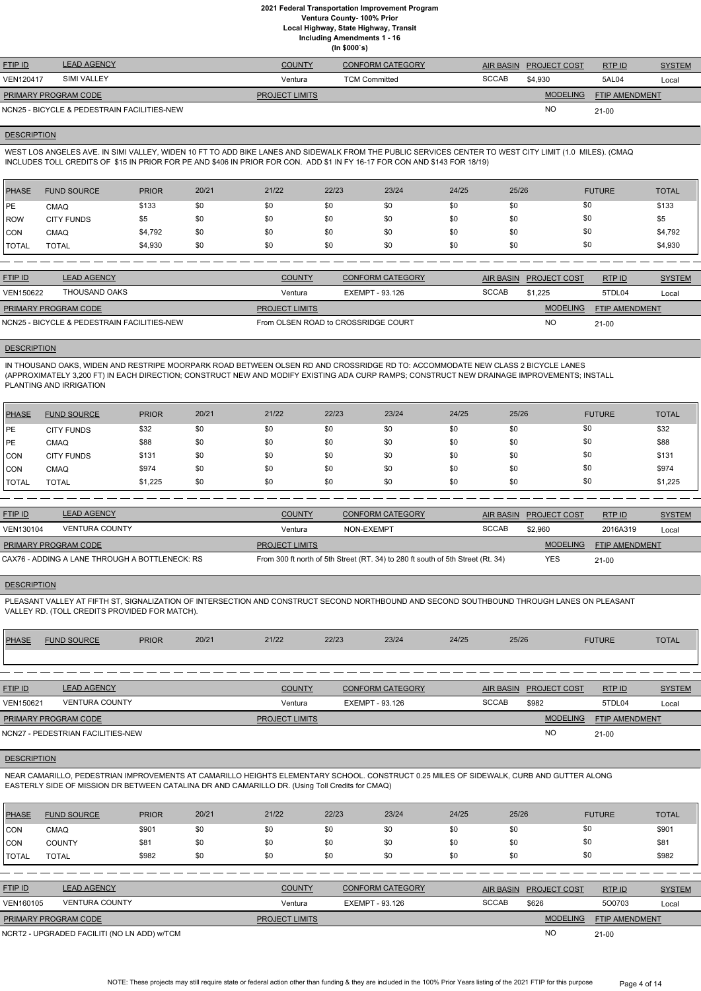**Ventura County- 100% Prior**

**Local Highway, State Highway, Transit**

**Including Amendments 1 - 16 (In \$000`s)**

| <b>FTIP ID</b>              | <b>LEAD AGENCY</b>                          | <b>COUNTY</b>         | <b>CONFORM CATEGORY</b> | <b>AIR BASIN</b> | <b>PROJECT COST</b> | RTP ID                | <b>SYSTEM</b> |
|-----------------------------|---------------------------------------------|-----------------------|-------------------------|------------------|---------------------|-----------------------|---------------|
| <b>VEN120417</b>            | SIMI VALLEY                                 | Ventura               | <b>TCM Committed</b>    | <b>SCCAB</b>     | \$4.930             | 5AL04                 | Local         |
| <b>PRIMARY PROGRAM CODE</b> |                                             | <b>PROJECT LIMITS</b> |                         |                  | <b>MODELING</b>     | <b>FTIP AMENDMENT</b> |               |
|                             | NCN25 - BICYCLE & PEDESTRAIN FACILITIES-NEW |                       |                         |                  | <b>NO</b>           | $21-00$               |               |

#### **DESCRIPTION**

WEST LOS ANGELES AVE. IN SIMI VALLEY, WIDEN 10 FT TO ADD BIKE LANES AND SIDEWALK FROM THE PUBLIC SERVICES CENTER TO WEST CITY LIMIT (1.0 MILES). (CMAQ INCLUDES TOLL CREDITS OF \$15 IN PRIOR FOR PE AND \$406 IN PRIOR FOR CON. ADD \$1 IN FY 16-17 FOR CON AND \$143 FOR 18/19)

| PHASE        | <b>FUND SOURCE</b> | <b>PRIOR</b> | 20/21 | 21/22 | 22/23 | 23/24 | 24/25 | 25/26 | <b>FUTURE</b> | <b>TOTAL</b> |
|--------------|--------------------|--------------|-------|-------|-------|-------|-------|-------|---------------|--------------|
| <b>IPE</b>   | <b>CMAQ</b>        | \$133        | \$0   | \$0   | \$0   | \$0   | \$0   | \$0   | \$0           | \$133        |
| <b>ROW</b>   | <b>CITY FUNDS</b>  | \$5          | \$0   | \$0   | \$0   | \$0   | \$0   | \$0   | \$0           | \$5          |
| <b>CON</b>   | <b>CMAQ</b>        | \$4,792      | \$0   | \$0   | \$0   | \$0   | \$0   | \$0   | \$0           | \$4,792      |
| <b>TOTAL</b> | <b>TOTAL</b>       | \$4,930      | \$0   | \$0   | \$0   | \$0   | \$0   | \$0   | \$0           | \$4,930      |

| <b>FTIP ID</b>                              | <b>LEAD AGENCY</b> | <b>COUNTY</b>                       | <b>CONFORM CATEGORY</b> |              | AIR BASIN PROJECT COST | RTP ID                | <b>SYSTEM</b> |
|---------------------------------------------|--------------------|-------------------------------------|-------------------------|--------------|------------------------|-----------------------|---------------|
| VEN150622                                   | THOUSAND OAKS      | Ventura                             | EXEMPT - 93.126         | <b>SCCAB</b> | \$1.225                | 5TDL04                | Local         |
| <b>PRIMARY PROGRAM CODE</b>                 |                    | <b>PROJECT LIMITS</b>               |                         |              | <b>MODELING</b>        | <b>FTIP AMENDMENT</b> |               |
| NCN25 - BICYCLE & PEDESTRAIN FACILITIES-NEW |                    | From OLSEN ROAD to CROSSRIDGE COURT |                         |              | <b>NC</b>              | $21-00$               |               |

#### **DESCRIPTION**

IN THOUSAND OAKS, WIDEN AND RESTRIPE MOORPARK ROAD BETWEEN OLSEN RD AND CROSSRIDGE RD TO: ACCOMMODATE NEW CLASS 2 BICYCLE LANES (APPROXIMATELY 3,200 FT) IN EACH DIRECTION; CONSTRUCT NEW AND MODIFY EXISTING ADA CURP RAMPS; CONSTRUCT NEW DRAINAGE IMPROVEMENTS; INSTALL PLANTING AND IRRIGATION

| PHASE        | <b>FUND SOURCE</b> | <b>PRIOR</b> | 20/21 | 21/22 | 22/23 | 23/24 | 24/25 | 25/26 | <b>FUTURE</b> | <b>TOTAL</b> |
|--------------|--------------------|--------------|-------|-------|-------|-------|-------|-------|---------------|--------------|
| PE           | <b>CITY FUNDS</b>  | \$32         | \$0   | \$0   | \$0   | \$0   | \$0   | \$0   | \$0           | \$32         |
| PE           | CMAQ               | \$88         | \$0   | \$0   | \$0   | \$0   | \$0   | \$0   | \$0           | \$88         |
| CON          | <b>CITY FUNDS</b>  | \$131        | \$0   | \$0   | \$0   | \$0   | \$0   | \$0   | \$0           | \$131        |
| <b>ICON</b>  | CMAQ               | \$974        | \$0   | \$0   | \$0   | \$0   | \$0   | \$0   | \$0           | \$974        |
| <b>TOTAL</b> | <b>TOTAL</b>       | \$1,225      | \$0   | \$0   | \$0   | \$0   | \$0   | \$0   | \$0           | \$1,225      |

| <b>FTIP ID</b>       | <b>LEAD AGENCY</b>                             | <b>COUNTY</b>         | CONFORM CATEGORY                                                                |              | AIR BASIN PROJECT COST | RTP ID                | <b>SYSTEM</b> |
|----------------------|------------------------------------------------|-----------------------|---------------------------------------------------------------------------------|--------------|------------------------|-----------------------|---------------|
| VEN130104            | <b>VENTURA COUNTY</b>                          | Ventura               | NON-EXEMPT                                                                      | <b>SCCAB</b> | \$2,960                | 2016A319              | Local         |
| PRIMARY PROGRAM CODE |                                                | <b>PROJECT LIMITS</b> |                                                                                 |              | <b>MODELING</b>        | <b>FTIP AMENDMENT</b> |               |
|                      | CAX76 - ADDING A LANE THROUGH A BOTTLENECK: RS |                       | From 300 ft north of 5th Street (RT. 34) to 280 ft south of 5th Street (Rt. 34) |              | <b>YES</b>             | $21-00$               |               |

#### **DESCRIPTION**

PLEASANT VALLEY AT FIFTH ST, SIGNALIZATION OF INTERSECTION AND CONSTRUCT SECOND NORTHBOUND AND SECOND SOUTHBOUND THROUGH LANES ON PLEASANT VALLEY RD. (TOLL CREDITS PROVIDED FOR MATCH).

| <b>PHASE</b>     | <b>FUND SOURCE</b>                | <b>PRIOR</b> | 20/21 | 21/22                 | 22/23 | 23/24                   | 24/25 | 25/26            |                     | <b>FUTURE</b>         | <b>TOTAL</b>  |
|------------------|-----------------------------------|--------------|-------|-----------------------|-------|-------------------------|-------|------------------|---------------------|-----------------------|---------------|
|                  |                                   |              |       |                       |       |                         |       |                  |                     |                       |               |
|                  |                                   |              |       |                       |       |                         |       |                  |                     |                       |               |
| <b>FTIP ID</b>   | <b>LEAD AGENCY</b>                |              |       | <b>COUNTY</b>         |       | <b>CONFORM CATEGORY</b> |       | <b>AIR BASIN</b> | <b>PROJECT COST</b> | RTP ID                | <b>SYSTEM</b> |
| <b>VEN150621</b> | <b>VENTURA COUNTY</b>             |              |       | Ventura               |       | EXEMPT - 93.126         |       | <b>SCCAB</b>     | \$982               | 5TDL04                | Local         |
|                  | <b>PRIMARY PROGRAM CODE</b>       |              |       | <b>PROJECT LIMITS</b> |       |                         |       |                  | <b>MODELING</b>     | <b>FTIP AMENDMENT</b> |               |
|                  | NCN27 - PEDESTRIAN FACILITIES-NEW |              |       |                       |       |                         |       |                  | <b>NO</b>           | $21 - 00$             |               |

#### **DESCRIPTION**

NEAR CAMARILLO, PEDESTRIAN IMPROVEMENTS AT CAMARILLO HEIGHTS ELEMENTARY SCHOOL. CONSTRUCT 0.25 MILES OF SIDEWALK, CURB AND GUTTER ALONG EASTERLY SIDE OF MISSION DR BETWEEN CATALINA DR AND CAMARILLO DR. (Using Toll Credits for CMAQ)

| <b>PHASE</b>   | <b>FUND SOURCE</b>                          | <b>PRIOR</b> | 20/21 | 21/22                 | 22/23                  | 23/24                   | 24/25            | 25/26               | <b>FUTURE</b>  | <b>TOTAL</b>  |
|----------------|---------------------------------------------|--------------|-------|-----------------------|------------------------|-------------------------|------------------|---------------------|----------------|---------------|
| CON            | <b>CMAQ</b>                                 | \$901        | \$0   | \$0                   | \$0                    | \$0                     | \$0              | \$0                 | \$0            | \$901         |
| ICON           | <b>COUNTY</b>                               | \$81         | \$0   | \$0                   | \$0                    | \$0                     | \$0              | \$0                 | \$0            | \$81          |
| <b>TOTAL</b>   | <b>TOTAL</b>                                | \$982        | \$0   | \$0                   | \$0                    | \$0                     | \$0              | \$0                 | \$0            | \$982         |
|                |                                             |              |       |                       |                        |                         |                  |                     |                |               |
| <b>FTIP ID</b> | <b>LEAD AGENCY</b>                          |              |       | <b>COUNTY</b>         |                        | <b>CONFORM CATEGORY</b> | <b>AIR BASIN</b> | <b>PROJECT COST</b> | RTP ID         | <b>SYSTEM</b> |
| VEN160105      | <b>VENTURA COUNTY</b>                       |              |       | Ventura               | <b>EXEMPT - 93.126</b> |                         | <b>SCCAB</b>     | \$626               | 500703         | Local         |
|                | PRIMARY PROGRAM CODE                        |              |       | <b>PROJECT LIMITS</b> |                        |                         |                  | <b>MODELING</b>     | FTIP AMENDMENT |               |
|                | NCRT2 - UPGRADED FACILITI (NO LN ADD) W/TCM |              |       |                       |                        |                         |                  | <b>NO</b>           | $21-00$        |               |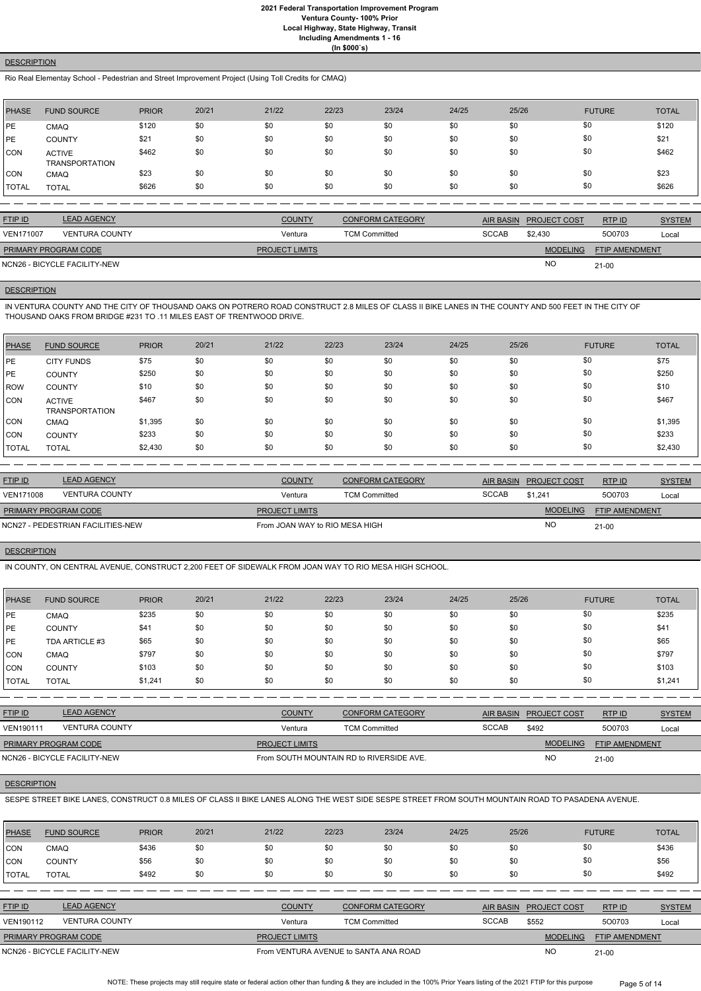**(In \$000`s)**

# **DESCRIPTION**

Rio Real Elementay School - Pedestrian and Street Improvement Project (Using Toll Credits for CMAQ)

| <b>PHASE</b> | <b>FUND SOURCE</b>                     | <b>PRIOR</b> | 20/21 | 21/22 | 22/23 | 23/24 | 24/25 | 25/26 | <b>FUTURE</b> | <b>TOTAL</b> |
|--------------|----------------------------------------|--------------|-------|-------|-------|-------|-------|-------|---------------|--------------|
| PE           | <b>CMAQ</b>                            | \$120        | \$0   | \$0   | \$0   | \$0   | \$0   | \$0   | \$0           | \$120        |
| PE           | <b>COUNTY</b>                          | \$21         | \$0   | \$0   | \$0   | \$0   | \$0   | \$0   | \$0           | \$21         |
| <b>CON</b>   | <b>ACTIVE</b><br><b>TRANSPORTATION</b> | \$462        | \$0   | \$0   | \$0   | \$0   | \$0   | \$0   | \$0           | \$462        |
| <b>CON</b>   | <b>CMAQ</b>                            | \$23         | \$0   | \$0   | \$0   | \$0   | \$0   | \$0   | \$0           | \$23         |
| <b>TOTAL</b> | <b>TOTAL</b>                           | \$626        | \$0   | \$0   | \$0   | \$0   | \$0   | \$0   | \$0           | \$626        |

| <b>FTIP ID</b>              | <b>LEAD AGENCY</b>           | <b>COUNTY</b>         | <b>CONFORM CATEGORY</b> | AIR BASIN    | <b>PROJECT COST</b> | RTP ID                | <b>SYSTEM</b> |
|-----------------------------|------------------------------|-----------------------|-------------------------|--------------|---------------------|-----------------------|---------------|
| <b>VEN171007</b>            | <b>VENTURA COUNTY</b>        | Ventura               | <b>TCM Committed</b>    | <b>SCCAB</b> | \$2.430             | 500703                | Local         |
| <b>PRIMARY PROGRAM CODE</b> |                              | <b>PROJECT LIMITS</b> |                         |              | <b>MODELING</b>     | <b>FTIP AMENDMENT</b> |               |
|                             | NCN26 - BICYCLE FACILITY-NEW |                       |                         |              | <b>NO</b>           | $21 - 00$             |               |

#### **DESCRIPTION**

IN VENTURA COUNTY AND THE CITY OF THOUSAND OAKS ON POTRERO ROAD CONSTRUCT 2.8 MILES OF CLASS II BIKE LANES IN THE COUNTY AND 500 FEET IN THE CITY OF THOUSAND OAKS FROM BRIDGE #231 TO .11 MILES EAST OF TRENTWOOD DRIVE.

| <b>PHASE</b> | <b>FUND SOURCE</b>              | <b>PRIOR</b> | 20/21 | 21/22 | 22/23 | 23/24 | 24/25 | 25/26 | <b>FUTURE</b> | <b>TOTAL</b> |
|--------------|---------------------------------|--------------|-------|-------|-------|-------|-------|-------|---------------|--------------|
| PE           | <b>CITY FUNDS</b>               | \$75         | \$0   | \$0   | \$0   | \$0   | \$0   | \$0   | \$0           | \$75         |
| <b>IPE</b>   | <b>COUNTY</b>                   | \$250        | \$0   | \$0   | \$0   | \$0   | \$0   | \$0   | \$0           | \$250        |
| <b>IROW</b>  | <b>COUNTY</b>                   | \$10         | \$0   | \$0   | \$0   | \$0   | \$0   | \$0   | \$0           | \$10         |
| <b>CON</b>   | <b>ACTIVE</b><br>TRANSPORTATION | \$467        | \$0   | \$0   | \$0   | \$0   | \$0   | \$0   | \$0           | \$467        |
| CON          | CMAQ                            | \$1,395      | \$0   | \$0   | \$0   | \$0   | \$0   | \$0   | \$0           | \$1,395      |
| ICON         | <b>COUNTY</b>                   | \$233        | \$0   | \$0   | \$0   | \$0   | \$0   | \$0   | \$0           | \$233        |
| <b>TOTAL</b> | <b>TOTAL</b>                    | \$2,430      | \$0   | \$0   | \$0   | \$0   | \$0   | \$0   | \$0           | \$2,430      |

| <b>LEAD AGENCY</b>                | <b>COUNTY</b>         | <b>CONFORM CATEGORY</b>        |              |                 | RTPID                               | <b>SYSTEM</b> |
|-----------------------------------|-----------------------|--------------------------------|--------------|-----------------|-------------------------------------|---------------|
| <b>VENTURA COUNTY</b>             | Ventura               | <b>TCM Committed</b>           | <b>SCCAB</b> | \$1.241         | 500703                              | Local         |
| <b>PRIMARY PROGRAM CODE</b>       | <b>PROJECT LIMITS</b> |                                |              | <b>MODELING</b> | FTIP AMENDMENT                      |               |
| NCN27 - PEDESTRIAN FACILITIES-NEW |                       | From JOAN WAY to RIO MESA HIGH |              |                 | $21 - 00$                           |               |
|                                   |                       |                                |              |                 | AIR BASIN PROJECT COST<br><b>NO</b> |               |

# **DESCRIPTION**

IN COUNTY, ON CENTRAL AVENUE, CONSTRUCT 2,200 FEET OF SIDEWALK FROM JOAN WAY TO RIO MESA HIGH SCHOOL.

| <b>PHASE</b> | <b>FUND SOURCE</b> | <b>PRIOR</b> | 20/21 | 21/22 | 22/23 | 23/24 | 24/25 | 25/26 | <b>FUTURE</b> | <b>TOTAL</b> |
|--------------|--------------------|--------------|-------|-------|-------|-------|-------|-------|---------------|--------------|
| PE           | <b>CMAQ</b>        | \$235        | \$0   | \$0   | \$0   | \$0   | \$0   | \$0   | \$0           | \$235        |
| PE           | <b>COUNTY</b>      | \$41         | \$0   | \$0   | \$0   | \$0   | \$0   | \$0   | \$0           | \$41         |
| <b>PE</b>    | TDA ARTICLE #3     | \$65         | \$0   | \$0   | \$0   | \$0   | \$0   | \$0   | \$0           | \$65         |
| <b>CON</b>   | <b>CMAQ</b>        | \$797        | \$0   | \$0   | \$0   | \$0   | \$0   | \$0   | \$0           | \$797        |
| <b>CON</b>   | <b>COUNTY</b>      | \$103        | \$0   | \$0   | \$0   | \$0   | \$0   | \$0   | \$0           | \$103        |
| <b>TOTAL</b> | <b>TOTAL</b>       | \$1,241      | \$0   | \$0   | \$0   | \$0   | \$0   | \$0   | \$0           | \$1,241      |

| <u>FTIP ID</u>       | <b>LEAD AGENCY</b>    | <b>COUNTY</b>         | <b>CONFORM CATEGORY</b> | AIR BASIN    | <b>PROJECT COST</b> | <b>RTP ID</b>         | <b>SYSTEM</b> |
|----------------------|-----------------------|-----------------------|-------------------------|--------------|---------------------|-----------------------|---------------|
| VEN190111            | <b>VENTURA COUNTY</b> | Ventura               | <b>TCM Committed</b>    | <b>SCCAB</b> | \$492               | 500703                | Loca          |
| PRIMARY PROGRAM CODE |                       | <b>PROJECT LIMITS</b> |                         |              | <b>MODELING</b>     | <b>FTIP AMENDMENT</b> |               |

NO

#### **DESCRIPTION**

SESPE STREET BIKE LANES, CONSTRUCT 0.8 MILES OF CLASS II BIKE LANES ALONG THE WEST SIDE SESPE STREET FROM SOUTH MOUNTAIN ROAD TO PASADENA AVENUE.

| <b>PHASE</b>     | <b>FUND SOURCE</b>           | <b>PRIOR</b> | 20/21 | 21/22                 | 22/23 | 23/24                                 | 24/25 | 25/26            |                     | <b>FUTURE</b>         | <b>TOTAL</b>  |
|------------------|------------------------------|--------------|-------|-----------------------|-------|---------------------------------------|-------|------------------|---------------------|-----------------------|---------------|
| ICON             | <b>CMAQ</b>                  | \$436        | \$0   | \$0                   | \$0   | \$0                                   | \$0   | \$0              | \$0                 |                       | \$436         |
| ICON             | <b>COUNTY</b>                | \$56         | \$0   | \$0                   | \$0   | \$0                                   | \$0   | \$0              | \$0                 |                       | \$56          |
| <b>I</b> TOTAL   | <b>TOTAL</b>                 | \$492        | \$0   | \$0                   | \$0   | \$0                                   | \$0   | \$0              | \$0                 |                       | \$492         |
|                  |                              |              |       |                       |       |                                       |       |                  |                     |                       |               |
| <b>FTIP ID</b>   | <b>LEAD AGENCY</b>           |              |       | <b>COUNTY</b>         |       | <b>CONFORM CATEGORY</b>               |       | <b>AIR BASIN</b> | <b>PROJECT COST</b> | RTPID                 | <b>SYSTEM</b> |
| <b>VEN190112</b> | <b>VENTURA COUNTY</b>        |              |       | Ventura               |       | <b>TCM Committed</b>                  |       | <b>SCCAB</b>     | \$552               | 500703                | Local         |
|                  | PRIMARY PROGRAM CODE         |              |       | <b>PROJECT LIMITS</b> |       |                                       |       |                  | <b>MODELING</b>     | <b>FTIP AMENDMENT</b> |               |
|                  | NCN26 - BICYCLE FACILITY-NEW |              |       |                       |       | From VENTURA AVENUE to SANTA ANA ROAD |       |                  | N <sub>O</sub>      | $21 - 00$             |               |

NOTE: These projects may still require state or federal action other than funding & they are included in the 100% Prior Years listing of the 2021 FTIP for this purpose Page 5 of 14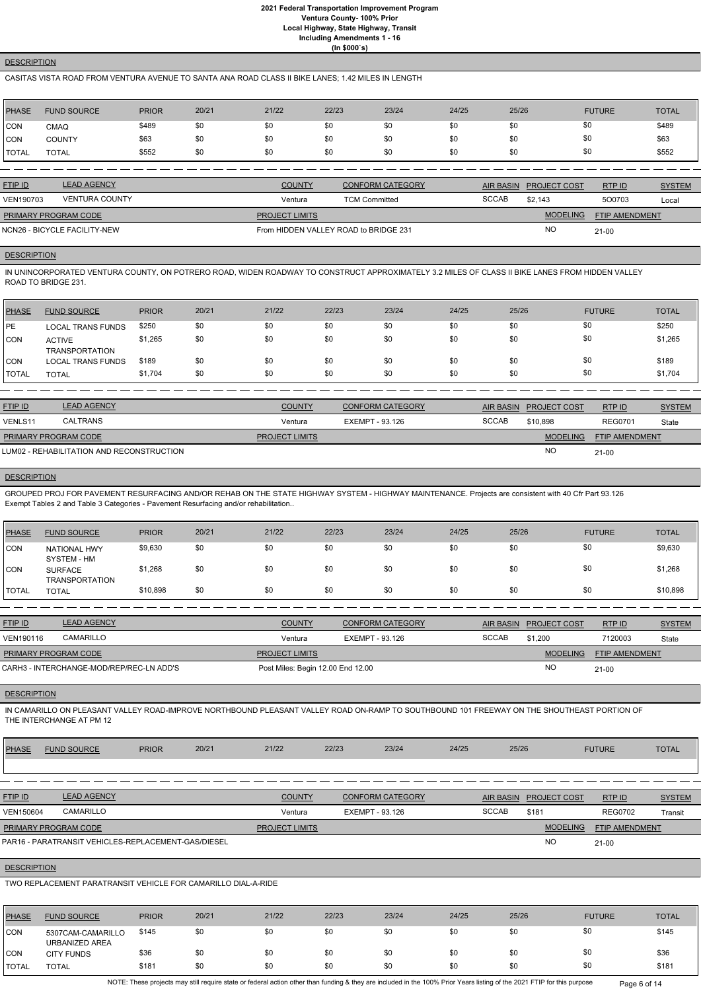**(In \$000`s)**

## **DESCRIPTION**

## CASITAS VISTA ROAD FROM VENTURA AVENUE TO SANTA ANA ROAD CLASS II BIKE LANES; 1.42 MILES IN LENGTH

| PHASE        | <b>FUND SOURCE</b> | <b>PRIOR</b> | 20/21 | 21/22 | 22/23 | 23/24 | 24/25 | 25/26 | <b>FUTURE</b> | <b>TOTAL</b> |
|--------------|--------------------|--------------|-------|-------|-------|-------|-------|-------|---------------|--------------|
| CON          | <b>CMAQ</b>        | \$489        | \$0   | \$0   | \$0   | \$0   | \$0   | \$0   | \$0           | \$489        |
| CON          | <b>COUNTY</b>      | \$63         | \$0   | \$0   | \$0   | \$0   | \$0   | \$0   | \$0           | \$63         |
| <b>TOTAL</b> | <b>TOTAL</b>       | \$552        | \$0   | \$0   | \$0   | \$0   | \$0   | \$0   | \$0           | \$552        |

| <b>FTIP ID</b>              | <b>LEAD AGENCY</b>           | <b>COUNTY</b>                         | <b>CONFORM CATEGORY</b> |              | AIR BASIN PROJECT COST | RTP ID                | <b>SYSTEM</b> |
|-----------------------------|------------------------------|---------------------------------------|-------------------------|--------------|------------------------|-----------------------|---------------|
| VEN190703                   | <b>VENTURA COUNTY</b>        | Ventura                               | <b>TCM Committed</b>    | <b>SCCAB</b> | \$2.143                | 500703                | Local         |
| <b>PRIMARY PROGRAM CODE</b> |                              | <b>PROJECT LIMITS</b>                 |                         |              | <b>MODELING</b>        | <b>FTIP AMENDMENT</b> |               |
|                             | NCN26 - BICYCLE FACILITY-NEW | From HIDDEN VALLEY ROAD to BRIDGE 231 |                         |              | <b>NO</b>              | $21-00$               |               |

## **DESCRIPTION**

IN UNINCORPORATED VENTURA COUNTY, ON POTRERO ROAD, WIDEN ROADWAY TO CONSTRUCT APPROXIMATELY 3.2 MILES OF CLASS II BIKE LANES FROM HIDDEN VALLEY ROAD TO BRIDGE 231.

| PHASE        | <b>FUND SOURCE</b>                     | <b>PRIOR</b> | 20/21 | 21/22 | 22/23 | 23/24 | 24/25 | 25/26 | <b>FUTURE</b> | <b>TOTAL</b> |
|--------------|----------------------------------------|--------------|-------|-------|-------|-------|-------|-------|---------------|--------------|
| <b>IPE</b>   | <b>LOCAL TRANS FUNDS</b>               | \$250        | \$0   | \$0   | \$0   | \$0   | \$0   | \$0   | \$0           | \$250        |
| <b>CON</b>   | <b>ACTIVE</b><br><b>TRANSPORTATION</b> | \$1,265      | \$0   | \$0   | \$0   | \$0   | \$0   | \$0   | \$0           | \$1,265      |
| <b>CON</b>   | <b>LOCAL TRANS FUNDS</b>               | \$189        | \$0   | \$0   | \$0   | \$0   | \$0   | \$0   | \$0           | \$189        |
| <b>TOTAL</b> | <b>TOTAL</b>                           | \$1,704      | \$0   | \$0   | \$0   | \$0   | \$0   | \$0   | \$0           | \$1,704      |

| <b>FTIP ID</b>              | <b>LEAD AGENCY</b>                        | <b>COUNTY</b>         | <b>CONFORM CATEGORY</b> |              | AIR BASIN PROJECT COST | RTP ID                | <b>SYSTEM</b> |
|-----------------------------|-------------------------------------------|-----------------------|-------------------------|--------------|------------------------|-----------------------|---------------|
| VENLS11                     | CALTRANS                                  | Ventura               | EXEMPT - 93.126         | <b>SCCAB</b> | \$10.898               | <b>REG0701</b>        | State         |
| <b>PRIMARY PROGRAM CODE</b> |                                           | <b>PROJECT LIMITS</b> |                         |              | <b>MODELING</b>        | <b>FTIP AMENDMENT</b> |               |
|                             | LUM02 - REHABILITATION AND RECONSTRUCTION |                       |                         |              | <b>NO</b>              | $21-00$               |               |

# **DESCRIPTION**

GROUPED PROJ FOR PAVEMENT RESURFACING AND/OR REHAB ON THE STATE HIGHWAY SYSTEM - HIGHWAY MAINTENANCE. Projects are consistent with 40 Cfr Part 93.126 Exempt Tables 2 and Table 3 Categories - Pavement Resurfacing and/or rehabilitation..

| PHASE          | <b>FUND SOURCE</b>                      | <b>PRIOR</b> | 20/21 | 21/22 | 22/23 | 23/24 | 24/25 | 25/26 | <b>FUTURE</b> | <b>TOTAL</b> |
|----------------|-----------------------------------------|--------------|-------|-------|-------|-------|-------|-------|---------------|--------------|
| CON            | <b>NATIONAL HWY</b><br>SYSTEM - HM      | \$9,630      | \$0   | \$0   | \$0   | \$0   | \$0   | \$0   | \$0           | \$9,630      |
| CON            | <b>SURFACE</b><br><b>TRANSPORTATION</b> | \$1,268      | \$0   | \$0   | \$0   | \$0   | \$0   | \$0   | \$0           | \$1,268      |
| <b>I</b> TOTAL | <b>TOTAL</b>                            | \$10,898     | \$0   | \$0   | \$0   | \$0   | \$0   | \$0   | \$0           | \$10,898     |

| <b>FTIP ID</b>              | <b>LEAD AGENCY</b>                       | <b>COUNTY</b>                     | <b>CONFORM CATEGORY</b> |              | AIR BASIN PROJECT COST | RTP ID         | <b>SYSTEM</b> |
|-----------------------------|------------------------------------------|-----------------------------------|-------------------------|--------------|------------------------|----------------|---------------|
| <b>VEN190116</b>            | CAMARILLO                                | Ventura                           | EXEMPT - 93.126         | <b>SCCAB</b> | \$1.200                | 7120003        | State         |
| <b>PRIMARY PROGRAM CODE</b> |                                          | <b>PROJECT LIMITS</b>             |                         |              | <b>MODELING</b>        | FTIP AMENDMENT |               |
|                             | CARH3 - INTERCHANGE-MOD/REP/REC-LN ADD'S | Post Miles: Begin 12.00 End 12.00 |                         |              | <b>NO</b>              | $21 - 00$      |               |

#### **DESCRIPTION**

IN CAMARILLO ON PLEASANT VALLEY ROAD-IMPROVE NORTHBOUND PLEASANT VALLEY ROAD ON-RAMP TO SOUTHBOUND 101 FREEWAY ON THE SHOUTHEAST PORTION OF THE INTERCHANGE AT PM 12

| PHASE | <b>PRIOR</b> | 20/21 | 21/22 | 22/23 | 23/24 | 24/25 | 25/26 | <b>FUTURE</b> | TOTAL |
|-------|--------------|-------|-------|-------|-------|-------|-------|---------------|-------|
|       |              |       |       |       |       |       |       |               |       |

| <b>FTIP ID</b>              | <b>LEAD AGENCY</b>                                  | <b>COUNTY</b>         | <b>CONFORM CATEGORY</b> | AIR BASIN    | <b>PROJECT COST</b> | RTP ID                | <b>SYSTEM</b> |
|-----------------------------|-----------------------------------------------------|-----------------------|-------------------------|--------------|---------------------|-----------------------|---------------|
| VEN150604                   | CAMARILLO                                           | Ventura               | EXEMPT - 93.126         | <b>SCCAB</b> | \$181               | <b>REG0702</b>        | Transit       |
| <b>PRIMARY PROGRAM CODE</b> |                                                     | <b>PROJECT LIMITS</b> |                         |              | <b>MODELING</b>     | <b>FTIP AMENDMENT</b> |               |
|                             | PAR16 - PARATRANSIT VEHICLES-REPLACEMENT-GAS/DIESEL |                       |                         |              | <b>NO</b>           | $21-00$               |               |

# **DESCRIPTION**

TWO REPLACEMENT PARATRANSIT VEHICLE FOR CAMARILLO DIAL-A-RIDE

| PHASE        | <b>FUND SOURCE</b>                  | <b>PRIOR</b> | 20/21 | 21/22 | 22/23 | 23/24 | 24/25 | 25/26 | <b>FUTURE</b> | <b>TOTAL</b> |
|--------------|-------------------------------------|--------------|-------|-------|-------|-------|-------|-------|---------------|--------------|
| CON          | 5307CAM-CAMARILLO<br>URBANIZED AREA | \$145        | \$0   | \$0   | \$0   | \$0   | \$0   | \$0   | \$0           | \$145        |
| CON          | <b>CITY FUNDS</b>                   | \$36         | \$0   | \$0   | \$0   | \$0   | \$0   | \$0   | \$0           | \$36         |
| <b>TOTAL</b> | TOTAL                               | \$181        | \$0   | \$0   | \$0   | \$0   | \$0   | \$0   | \$0           | \$181        |

NOTE: These projects may still require state or federal action other than funding & they are included in the 100% Prior Years listing of the 2021 FTIP for this purpose Page 6 of 14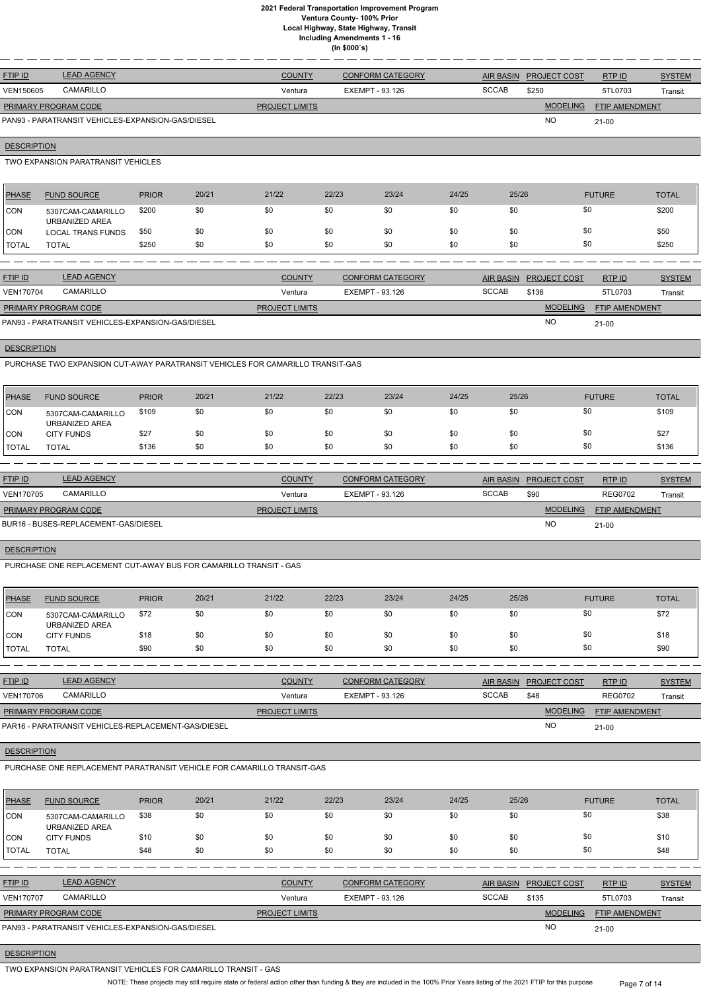| <b>FTIP ID</b>              | <b>LEAD AGENCY</b>                                | <b>COUNTY</b>         | <b>CONFORM CATEGORY</b> |              | AIR BASIN PROJECT COST | RTPID                 | <b>SYSTEM</b> |
|-----------------------------|---------------------------------------------------|-----------------------|-------------------------|--------------|------------------------|-----------------------|---------------|
| VEN150605                   | <b>CAMARILLO</b>                                  | Ventura               | EXEMPT - 93.126         | <b>SCCAB</b> | \$250                  | 5TL0703               | Transit       |
| <b>PRIMARY PROGRAM CODE</b> |                                                   | <b>PROJECT LIMITS</b> |                         |              | <b>MODELING</b>        | <b>FTIP AMENDMENT</b> |               |
|                             | PAN93 - PARATRANSIT VEHICLES-EXPANSION-GAS/DIESEL |                       |                         |              | <b>NC</b>              | $21 - 00$             |               |

## **DESCRIPTION**

TWO EXPANSION PARATRANSIT VEHICLES

| <b>PHASE</b> | <b>FUND SOURCE</b>                  | <b>PRIOR</b> | 20/21 | 21/22 | 22/23 | 23/24 | 24/25 | 25/26 | <b>FUTURE</b> | <b>TOTAL</b> |
|--------------|-------------------------------------|--------------|-------|-------|-------|-------|-------|-------|---------------|--------------|
| <b>CON</b>   | 5307CAM-CAMARILLO<br>URBANIZED AREA | \$200        | \$0   | \$0   | \$0   | \$0   | \$0   | \$0   | \$0           | \$200        |
| <b>CON</b>   | <b>LOCAL TRANS FUNDS</b>            | \$50         | \$0   | \$0   | \$0   | \$0   | \$0   | \$0   | \$0           | \$50         |
| <b>TOTAL</b> | <b>TOTAL</b>                        | \$250        | \$0   | \$0   | \$0   | \$0   | \$0   | \$0   | \$0           | \$250        |
|              |                                     |              |       |       |       |       |       |       |               |              |

| <b>FTIP ID</b>              | <b>LEAD AGENCY</b>                                | <b>COUNTY</b>         | CONFORM CATEGORY |              | AIR BASIN PROJECT COST | RTPID                 | <b>SYSTEM</b> |
|-----------------------------|---------------------------------------------------|-----------------------|------------------|--------------|------------------------|-----------------------|---------------|
| <b>VEN170704</b>            | CAMARILLO                                         | Ventura               | EXEMPT - 93.126  | <b>SCCAB</b> | \$136                  | 5TL0703               | Transit       |
| <b>PRIMARY PROGRAM CODE</b> |                                                   | <b>PROJECT LIMITS</b> |                  |              | <b>MODELING</b>        | <b>FTIP AMENDMENT</b> |               |
|                             | PAN93 - PARATRANSIT VEHICLES-EXPANSION-GAS/DIESEL |                       |                  |              | <b>NO</b>              | $21-00$               |               |

# **DESCRIPTION**

PURCHASE TWO EXPANSION CUT-AWAY PARATRANSIT VEHICLES FOR CAMARILLO TRANSIT-GAS

| PHASE        | <b>FUND SOURCE</b>                  | <b>PRIOR</b> | 20/21 | 21/22 | 22/23 | 23/24 | 24/25 | 25/26 | <b>FUTURE</b> | TOTAL |
|--------------|-------------------------------------|--------------|-------|-------|-------|-------|-------|-------|---------------|-------|
| <b>CON</b>   | 5307CAM-CAMARILLO<br>URBANIZED AREA | \$109        | \$0   | \$0   | \$0   | \$0   | \$0   |       | \$0           | \$109 |
| CON          | <b>CITY FUNDS</b>                   | \$27         | \$0   | \$0   | \$0   | \$0   | \$0   |       | \$0           | \$27  |
| <b>TOTAL</b> | <b>TOTAL</b>                        | \$136        | \$0   | \$0   | \$0   | \$0   | \$0   | \$0   | \$0           | \$136 |

| <b>FTIP ID</b>              | <b>LEAD AGENCY</b>                   | <b>COUNTY</b>         | <b>CONFORM CATEGORY</b> |              | AIR BASIN PROJECT COST | RTP ID                | <b>SYSTEM</b> |
|-----------------------------|--------------------------------------|-----------------------|-------------------------|--------------|------------------------|-----------------------|---------------|
| <b>VEN170705</b>            | CAMARILLO                            | Ventura               | EXEMPT - 93.126         | <b>SCCAB</b> | \$90                   | REG0702               | Transit       |
| <b>PRIMARY PROGRAM CODE</b> |                                      | <b>PROJECT LIMITS</b> |                         |              | <b>MODELING</b>        | <b>FTIP AMENDMENT</b> |               |
|                             | BUR16 - BUSES-REPLACEMENT-GAS/DIESEL |                       |                         |              | N <sub>O</sub>         | $21 - 00$             |               |

## **DESCRIPTION**

PURCHASE ONE REPLACEMENT CUT-AWAY BUS FOR CAMARILLO TRANSIT - GAS

| PHASE                | <b>FUND SOURCE</b>                  | <b>PRIOR</b> | 20/21 | 21/22 | 22/23 | 23/24 | 24/25 | 25/26 | <b>FUTURE</b> | <b>TOTAL</b> |
|----------------------|-------------------------------------|--------------|-------|-------|-------|-------|-------|-------|---------------|--------------|
| <b>CON</b>           | 5307CAM-CAMARILLO<br>URBANIZED AREA | \$72         | \$0   | \$0   | \$0   | \$0   | \$0   | \$0   | \$0           | \$72         |
| 'CON                 | <b>CITY FUNDS</b>                   | \$18         | \$0   | \$0   | \$0   | \$0   | \$0   | \$0   | \$0           | \$18         |
| <b><i>ITOTAL</i></b> | <b>TOTAL</b>                        | \$90         | \$0   | \$0   | \$0   | \$0   | \$0   | \$0   | \$0           | \$90         |

| <b>FTIP ID</b>              | <b>LEAD AGENCY</b>                                  | <b>COUNTY</b>         | <b>CONFORM CATEGORY</b> |              | AIR BASIN PROJECT COST | RTP ID                | <b>SYSTEM</b> |
|-----------------------------|-----------------------------------------------------|-----------------------|-------------------------|--------------|------------------------|-----------------------|---------------|
| <b>VEN170706</b>            | CAMARILLO                                           | Ventura               | EXEMPT - 93.126         | <b>SCCAB</b> | \$48                   | <b>REG0702</b>        | Transit       |
| <b>PRIMARY PROGRAM CODE</b> |                                                     | <b>PROJECT LIMITS</b> |                         |              | <b>MODELING</b>        | <b>FTIP AMENDMENT</b> |               |
|                             | PAR16 - PARATRANSIT VEHICLES-REPLACEMENT-GAS/DIESEL |                       |                         |              | <b>NC</b>              | $21 - 00$             |               |

#### **DESCRIPTION**

# PURCHASE ONE REPLACEMENT PARATRANSIT VEHICLE FOR CAMARILLO TRANSIT-GAS

| <b>PHASE</b>     | <b>FUND SOURCE</b>                                | <b>PRIOR</b> | 20/21 | 21/22                 | 22/23           | 23/24                   | 24/25 | 25/26            |                     | <b>FUTURE</b>         | <b>TOTAL</b>  |
|------------------|---------------------------------------------------|--------------|-------|-----------------------|-----------------|-------------------------|-------|------------------|---------------------|-----------------------|---------------|
| CON              | 5307CAM-CAMARILLO<br>URBANIZED AREA               | \$38         | \$0   | \$0                   | \$0             | \$0                     | \$0   | \$0              | \$0                 |                       | \$38          |
| ICON.            | <b>CITY FUNDS</b>                                 | \$10         | \$0   | \$0                   | \$0             | \$0                     | \$0   | \$0              | \$0                 |                       | \$10          |
| <b>I</b> TOTAL   | <b>TOTAL</b>                                      | \$48         | \$0   | \$0                   | \$0             | \$0                     | \$0   | \$0              | \$0                 |                       | \$48          |
|                  |                                                   |              |       |                       |                 |                         |       |                  |                     |                       |               |
| <b>FTIP ID</b>   | <b>LEAD AGENCY</b>                                |              |       | <b>COUNTY</b>         |                 | <b>CONFORM CATEGORY</b> |       | <b>AIR BASIN</b> | <b>PROJECT COST</b> | RTP ID                | <b>SYSTEM</b> |
| <b>VEN170707</b> | <b>CAMARILLO</b>                                  |              |       | Ventura               | EXEMPT - 93.126 |                         |       | <b>SCCAB</b>     | \$135               | 5TL0703               | Transit       |
|                  | PRIMARY PROGRAM CODE                              |              |       | <b>PROJECT LIMITS</b> |                 |                         |       |                  | <b>MODELING</b>     | <b>FTIP AMENDMENT</b> |               |
|                  | PAN93 - PARATRANSIT VEHICLES-EXPANSION-GAS/DIESEL |              |       |                       |                 |                         |       |                  | <b>NO</b>           | $21 - 00$             |               |

# **DESCRIPTION**

TWO EXPANSION PARATRANSIT VEHICLES FOR CAMARILLO TRANSIT - GAS

NOTE: These projects may still require state or federal action other than funding & they are included in the 100% Prior Years listing of the 2021 FTIP for this purpose Page 7 of 14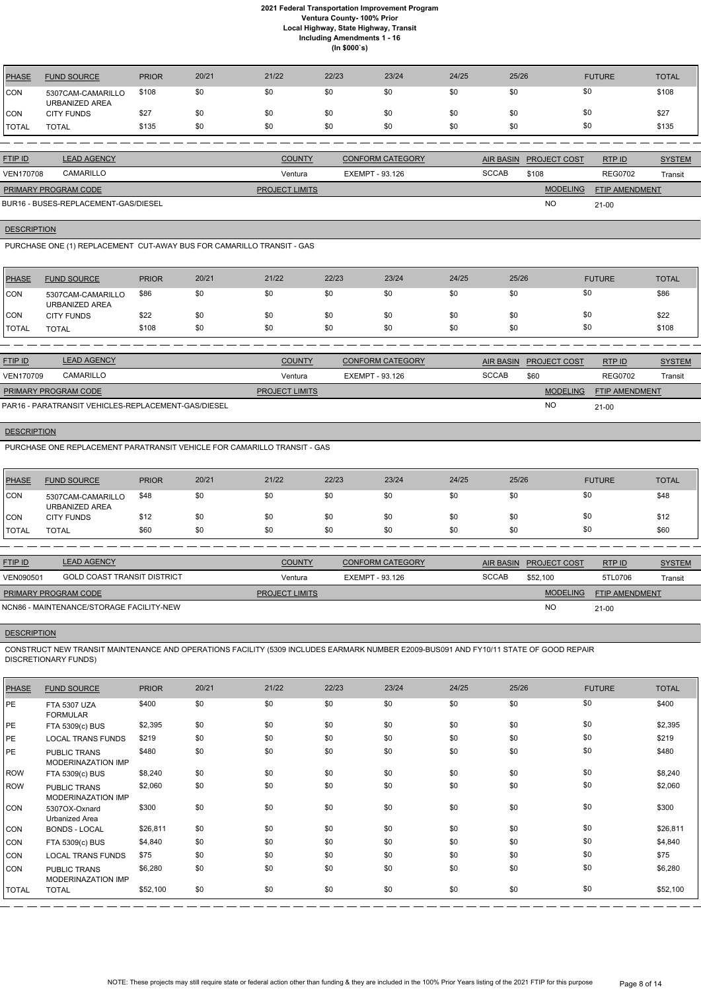| PHASE        | <b>FUND SOURCE</b>                  | <b>PRIOR</b> | 20/21 | 21/22 | 22/23 | 23/24 | 24/25 | 25/26 | <b>FUTURE</b> | <b>TOTAL</b> |
|--------------|-------------------------------------|--------------|-------|-------|-------|-------|-------|-------|---------------|--------------|
| CON          | 5307CAM-CAMARILLO<br>URBANIZED AREA | \$108        | \$0   | \$0   | \$0   | \$0   | \$0   | \$0   |               | \$108        |
| CON          | <b>CITY FUNDS</b>                   | \$27         | \$0   | \$0   | \$0   | \$0   | \$0   | \$0   |               | \$27         |
| <b>TOTAL</b> | TOTAL                               | \$135        | \$0   | \$0   | \$0   | \$0   | \$0   | \$0   |               | \$135        |

| <b>FTIP ID</b>              | <b>LEAD AGENCY</b>                   | <b>COUNTY</b>         | <b>CONFORM CATEGORY</b> |              | AIR BASIN PROJECT COST | RTPID                 | <b>SYSTEM</b> |
|-----------------------------|--------------------------------------|-----------------------|-------------------------|--------------|------------------------|-----------------------|---------------|
| <b>VEN170708</b>            | CAMARILLO                            | Ventura               | EXEMPT - 93.126         | <b>SCCAB</b> | \$108                  | <b>REG0702</b>        | Transit       |
| <b>PRIMARY PROGRAM CODE</b> |                                      | <b>PROJECT LIMITS</b> |                         |              | <b>MODELING</b>        | <b>FTIP AMENDMENT</b> |               |
|                             | BUR16 - BUSES-REPLACEMENT-GAS/DIESEL |                       |                         |              | <b>NC</b>              | $21 - 00$             |               |

**DESCRIPTION** 

PURCHASE ONE (1) REPLACEMENT CUT-AWAY BUS FOR CAMARILLO TRANSIT - GAS

| PHASE        | <b>FUND SOURCE</b>                  | <b>PRIOR</b> | 20/21 | 21/22 | 22/23 | 23/24 | 24/25 | 25/26 | <b>FUTURE</b> | <b>TOTAL</b> |
|--------------|-------------------------------------|--------------|-------|-------|-------|-------|-------|-------|---------------|--------------|
| <b>CON</b>   | 5307CAM-CAMARILLO<br>URBANIZED AREA | \$86         | \$0   | \$0   | \$0   | \$0   | \$0   | \$0   | \$0           | \$86         |
| CON          | <b>CITY FUNDS</b>                   | \$22         | \$0   | \$0   | \$0   | \$0   | \$0   | \$0   | \$0           | \$22         |
| <b>TOTAL</b> | <b>TOTAL</b>                        | \$108        | \$0   | \$0   | \$0   | \$0   | \$0   | \$0   | \$0           | \$108        |

| <b>FTIP ID</b>       | <b>LEAD AGENCY</b>                                  | <b>COUNTY</b>         | <b>CONFORM CATEGORY</b> |              | AIR BASIN PROJECT COST | RTP ID                | <b>SYSTEM</b> |
|----------------------|-----------------------------------------------------|-----------------------|-------------------------|--------------|------------------------|-----------------------|---------------|
| <b>VEN170709</b>     | CAMARILLO                                           | Ventura               | EXEMPT - 93.126         | <b>SCCAB</b> | \$60                   | <b>REG0702</b>        | Transit       |
| PRIMARY PROGRAM CODE |                                                     | <b>PROJECT LIMITS</b> |                         |              | <b>MODELING</b>        | <b>FTIP AMENDMENT</b> |               |
|                      | PAR16 - PARATRANSIT VEHICLES-REPLACEMENT-GAS/DIESEL |                       |                         |              | NO                     | 21-00                 |               |

PAR16 - PARATRANSIT VEHICLES-REPLACEMENT-GAS/DIESEL

## **DESCRIPTION**

PURCHASE ONE REPLACEMENT PARATRANSIT VEHICLE FOR CAMARILLO TRANSIT - GAS

| <b>PHASE</b> | <b>FUND SOURCE</b>                  | <b>PRIOR</b> | 20/21 | 21/22 | 22/23 | 23/24 | 24/25 | 25/26 | <b>FUTURE</b> | <b>TOTAL</b> |
|--------------|-------------------------------------|--------------|-------|-------|-------|-------|-------|-------|---------------|--------------|
| CON          | 5307CAM-CAMARILLO<br>URBANIZED AREA | \$48         | \$0   | \$0   |       | \$0   | \$0   | \$0   | \$0           | \$48         |
| CON          | <b>CITY FUNDS</b>                   | \$12         | \$0   | \$0   |       | \$0   | \$0   | \$0   | \$0           | \$12         |
| <b>TOTAL</b> | TOTAL                               | \$60         | \$0   | \$0   | \$0   | \$0   | \$0   | \$0   | \$0           | \$60         |

| <b>FTIP ID</b>              | <b>LEAD AGENCY</b>                       | <b>COUNTY</b>         | <b>CONFORM CATEGORY</b> |              | AIR BASIN PROJECT COST | RTP ID                | <b>SYSTEM</b> |
|-----------------------------|------------------------------------------|-----------------------|-------------------------|--------------|------------------------|-----------------------|---------------|
| VEN090501                   | <b>GOLD COAST TRANSIT DISTRICT</b>       | Ventura               | EXEMPT - 93.126         | <b>SCCAB</b> | \$52,100               | 5TL0706               | Transit       |
| <b>PRIMARY PROGRAM CODE</b> |                                          | <b>PROJECT LIMITS</b> |                         |              | <b>MODELING</b>        | <b>FTIP AMENDMENT</b> |               |
|                             | NCN86 - MAINTENANCE/STORAGE FACILITY-NEW |                       |                         |              | <b>NC</b>              | $21 - 00$             |               |

## **DESCRIPTION**

CONSTRUCT NEW TRANSIT MAINTENANCE AND OPERATIONS FACILITY (5309 INCLUDES EARMARK NUMBER E2009-BUS091 AND FY10/11 STATE OF GOOD REPAIR DISCRETIONARY FUNDS)

| <b>PHASE</b> | <b>FUND SOURCE</b>                        | <b>PRIOR</b> | 20/21 | 21/22 | 22/23 | 23/24 | 24/25 | 25/26 | <b>FUTURE</b> | <b>TOTAL</b> |
|--------------|-------------------------------------------|--------------|-------|-------|-------|-------|-------|-------|---------------|--------------|
| PE           | <b>FTA 5307 UZA</b><br><b>FORMULAR</b>    | \$400        | \$0   | \$0   | \$0   | \$0   | \$0   | \$0   | \$0           | \$400        |
| PE           | FTA 5309(c) BUS                           | \$2,395      | \$0   | \$0   | \$0   | \$0   | \$0   | \$0   | \$0           | \$2,395      |
| PE           | <b>LOCAL TRANS FUNDS</b>                  | \$219        | \$0   | \$0   | \$0   | \$0   | \$0   | \$0   | \$0           | \$219        |
| PE           | <b>PUBLIC TRANS</b><br>MODERINAZATION IMP | \$480        | \$0   | \$0   | \$0   | \$0   | \$0   | \$0   | \$0           | \$480        |
| <b>ROW</b>   | FTA 5309(c) BUS                           | \$8,240      | \$0   | \$0   | \$0   | \$0   | \$0   | \$0   | \$0           | \$8,240      |
| <b>ROW</b>   | PUBLIC TRANS<br><b>MODERINAZATION IMP</b> | \$2,060      | \$0   | \$0   | \$0   | \$0   | \$0   | \$0   | \$0           | \$2,060      |
| <b>CON</b>   | 5307OX-Oxnard<br>Urbanized Area           | \$300        | \$0   | \$0   | \$0   | \$0   | \$0   | \$0   | \$0           | \$300        |
| <b>CON</b>   | <b>BONDS - LOCAL</b>                      | \$26,811     | \$0   | \$0   | \$0   | \$0   | \$0   | \$0   | \$0           | \$26,811     |
| <b>CON</b>   | FTA 5309(c) BUS                           | \$4,840      | \$0   | \$0   | \$0   | \$0   | \$0   | \$0   | \$0           | \$4,840      |
| CON          | <b>LOCAL TRANS FUNDS</b>                  | \$75         | \$0   | \$0   | \$0   | \$0   | \$0   | \$0   | \$0           | \$75         |
| <b>CON</b>   | PUBLIC TRANS<br>MODERINAZATION IMP        | \$6,280      | \$0   | \$0   | \$0   | \$0   | \$0   | \$0   | \$0           | \$6,280      |
| <b>TOTAL</b> | <b>TOTAL</b>                              | \$52,100     | \$0   | \$0   | \$0   | \$0   | \$0   | \$0   | \$0           | \$52,100     |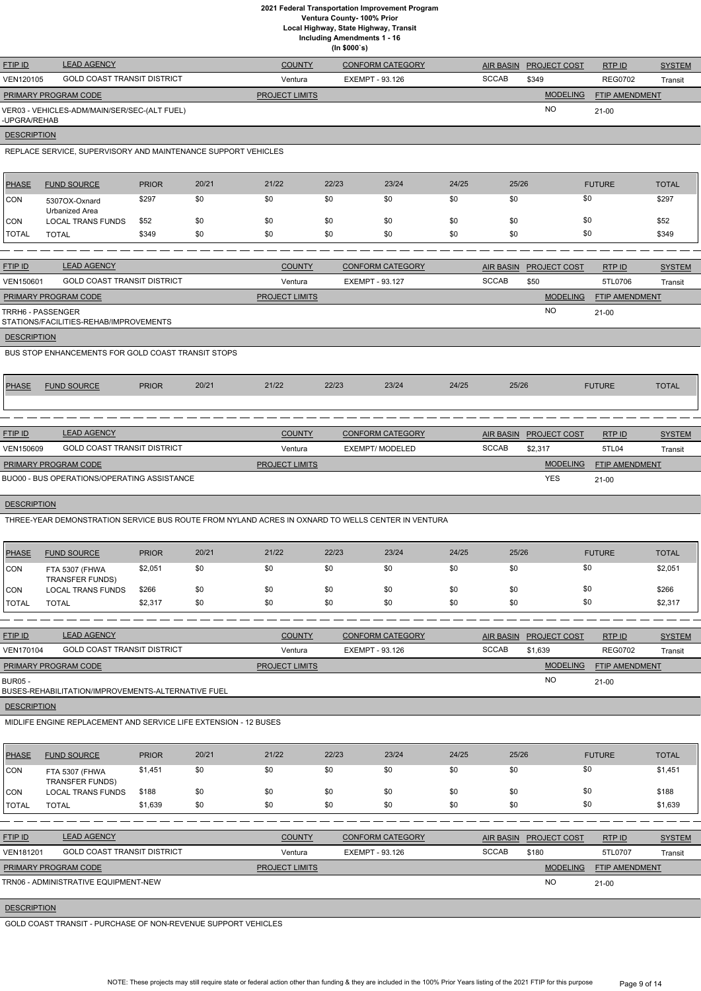**Ventura County- 100% Prior**

**Local Highway, State Highway, Transit**

**Including Amendments 1 - 16**

**(In \$000`s)**

|                    |                                                                                                   |              |       |                       | $(III$ $\psi$ |                         |       |                  |                     |                |               |
|--------------------|---------------------------------------------------------------------------------------------------|--------------|-------|-----------------------|---------------|-------------------------|-------|------------------|---------------------|----------------|---------------|
| FTIP ID            | <b>LEAD AGENCY</b>                                                                                |              |       | <b>COUNTY</b>         |               | <b>CONFORM CATEGORY</b> |       | <b>AIR BASIN</b> | PROJECT COST        | RTP ID         | <b>SYSTEM</b> |
| VEN120105          | <b>GOLD COAST TRANSIT DISTRICT</b>                                                                |              |       | Ventura               |               | <b>EXEMPT - 93.126</b>  |       | <b>SCCAB</b>     | \$349               | <b>REG0702</b> | Transit       |
|                    | PRIMARY PROGRAM CODE                                                                              |              |       | <b>PROJECT LIMITS</b> |               |                         |       |                  | <b>MODELING</b>     | FTIP AMENDMENT |               |
| -UPGRA/REHAB       | VER03 - VEHICLES-ADM/MAIN/SER/SEC-(ALT FUEL)                                                      |              |       |                       |               |                         |       |                  | <b>NO</b>           | $21-00$        |               |
| <b>DESCRIPTION</b> |                                                                                                   |              |       |                       |               |                         |       |                  |                     |                |               |
|                    | REPLACE SERVICE, SUPERVISORY AND MAINTENANCE SUPPORT VEHICLES                                     |              |       |                       |               |                         |       |                  |                     |                |               |
| <b>PHASE</b>       | <b>FUND SOURCE</b>                                                                                | <b>PRIOR</b> | 20/21 | 21/22                 | 22/23         | 23/24                   | 24/25 | 25/26            |                     | <b>FUTURE</b>  | <b>TOTAL</b>  |
| <b>CON</b>         | 5307OX-Oxnard<br>Urbanized Area                                                                   | \$297        | \$0   | \$0                   | \$0           | \$0                     | \$0   | \$0              |                     | \$0            | \$297         |
| <b>CON</b>         | <b>LOCAL TRANS FUNDS</b>                                                                          | \$52         | \$0   | \$0                   | \$0           | \$0                     | \$0   | \$0              |                     | \$0            | \$52          |
| <b>TOTAL</b>       | <b>TOTAL</b>                                                                                      | \$349        | \$0   | \$0                   | \$0           | \$0                     | \$0   | \$0              |                     | \$0            | \$349         |
|                    |                                                                                                   |              |       |                       |               |                         |       |                  |                     |                |               |
| FTIP ID            | <b>LEAD AGENCY</b>                                                                                |              |       | <b>COUNTY</b>         |               | <b>CONFORM CATEGORY</b> |       | <b>AIR BASIN</b> | PROJECT COST        | RTP ID         | <b>SYSTEM</b> |
| VEN150601          | <b>GOLD COAST TRANSIT DISTRICT</b>                                                                |              |       | Ventura               |               | <b>EXEMPT - 93.127</b>  |       | <b>SCCAB</b>     | \$50                | 5TL0706        | Transit       |
|                    | PRIMARY PROGRAM CODE                                                                              |              |       | <b>PROJECT LIMITS</b> |               |                         |       |                  | <b>MODELING</b>     | FTIP AMENDMENT |               |
| TRRH6 - PASSENGER  | STATIONS/FACILITIES-REHAB/IMPROVEMENTS                                                            |              |       |                       |               |                         |       |                  | <b>NO</b>           | $21-00$        |               |
| <b>DESCRIPTION</b> |                                                                                                   |              |       |                       |               |                         |       |                  |                     |                |               |
|                    | BUS STOP ENHANCEMENTS FOR GOLD COAST TRANSIT STOPS                                                |              |       |                       |               |                         |       |                  |                     |                |               |
| <b>PHASE</b>       | <b>FUND SOURCE</b>                                                                                | <b>PRIOR</b> | 20/21 | 21/22                 | 22/23         | 23/24                   | 24/25 | 25/26            |                     | <b>FUTURE</b>  | <b>TOTAL</b>  |
|                    |                                                                                                   |              |       |                       |               |                         |       |                  |                     |                |               |
|                    |                                                                                                   |              |       |                       |               |                         |       |                  |                     |                |               |
| FTIP ID            | <b>LEAD AGENCY</b>                                                                                |              |       | <b>COUNTY</b>         |               | <b>CONFORM CATEGORY</b> |       | <b>AIR BASIN</b> | <b>PROJECT COST</b> | RTP ID         | <b>SYSTEM</b> |
| VEN150609          | <b>GOLD COAST TRANSIT DISTRICT</b>                                                                |              |       | Ventura               |               | <b>EXEMPT/ MODELED</b>  |       | <b>SCCAB</b>     | \$2,317             | 5TL04          | Transit       |
|                    | PRIMARY PROGRAM CODE                                                                              |              |       | <b>PROJECT LIMITS</b> |               |                         |       |                  | <b>MODELING</b>     | FTIP AMENDMENT |               |
|                    | BUO00 - BUS OPERATIONS/OPERATING ASSISTANCE                                                       |              |       |                       |               |                         |       |                  | <b>YES</b>          | $21-00$        |               |
| <b>DESCRIPTION</b> |                                                                                                   |              |       |                       |               |                         |       |                  |                     |                |               |
|                    | THREE-YEAR DEMONSTRATION SERVICE BUS ROUTE FROM NYLAND ACRES IN OXNARD TO WELLS CENTER IN VENTURA |              |       |                       |               |                         |       |                  |                     |                |               |
| <b>PHASE</b>       | <b>FUND SOURCE</b>                                                                                | <b>PRIOR</b> | 20/21 | 21/22                 | 22/23         | 23/24                   | 24/25 | 25/26            |                     | <b>FUTURE</b>  | <b>TOTAL</b>  |
| CON                | FTA 5307 (FHWA<br><b>TRANSFER FUNDS)</b>                                                          | \$2,051      | \$0   | \$0                   | \$0           | \$0                     | \$0   | \$0              |                     | \$0            | \$2,051       |
| <b>CON</b>         | <b>LOCAL TRANS FUNDS</b>                                                                          | \$266        | \$0   | \$0                   | \$0           | \$0                     | \$0   | \$0              |                     | \$0            | \$266         |
| <b>TOTAL</b>       | <b>TOTAL</b>                                                                                      | \$2,317      | \$0   | \$0                   | \$0           | \$0                     | \$0   | \$0              |                     | \$0            | \$2,317       |
|                    |                                                                                                   |              |       |                       |               |                         |       |                  |                     |                |               |
| FTIP ID            | <b>LEAD AGENCY</b>                                                                                |              |       | <b>COUNTY</b>         |               | <b>CONFORM CATEGORY</b> |       | <b>AIR BASIN</b> | PROJECT COST        | RTP ID         | <b>SYSTEM</b> |
| VEN170104          | <b>GOLD COAST TRANSIT DISTRICT</b>                                                                |              |       | Ventura               |               | EXEMPT - 93.126         |       | <b>SCCAB</b>     | \$1,639             | <b>REG0702</b> | Transit       |
|                    | PRIMARY PROGRAM CODE                                                                              |              |       | PROJECT LIMITS        |               |                         |       |                  | <b>MODELING</b>     | FTIP AMENDMENT |               |
| <b>BUR05 -</b>     | BUSES-REHABILITATION/IMPROVEMENTS-ALTERNATIVE FUEL                                                |              |       |                       |               |                         |       |                  | <b>NO</b>           | $21-00$        |               |
| <b>DESCRIPTION</b> |                                                                                                   |              |       |                       |               |                         |       |                  |                     |                |               |

MIDLIFE ENGINE REPLACEMENT AND SERVICE LIFE EXTENSION - 12 BUSES

| <b>PHASE</b>     | <b>FUND SOURCE</b>                   | <b>PRIOR</b> | 20/21 | 21/22                 | 22/23           | 23/24                   | 24/25 | 25/26            |                 | <b>FUTURE</b>  | <b>TOTAL</b>  |
|------------------|--------------------------------------|--------------|-------|-----------------------|-----------------|-------------------------|-------|------------------|-----------------|----------------|---------------|
| <b>CON</b>       | FTA 5307 (FHWA<br>TRANSFER FUNDS)    | \$1,451      | \$0   | \$0                   | \$0             | \$0                     | \$0   | \$0              |                 | \$0            | \$1,451       |
| ICON             | <b>LOCAL TRANS FUNDS</b>             | \$188        | \$0   | \$0                   | \$0             | \$0                     | \$0   | \$0              |                 | \$0            | \$188         |
| <b>TOTAL</b>     | <b>TOTAL</b>                         | \$1,639      | \$0   | \$0                   | \$0             | \$0                     | \$0   | \$0              |                 | \$0            | \$1,639       |
|                  |                                      |              |       |                       |                 |                         |       |                  |                 |                |               |
| <b>FTIP ID</b>   | <b>LEAD AGENCY</b>                   |              |       | <b>COUNTY</b>         |                 | <b>CONFORM CATEGORY</b> |       | <b>AIR BASIN</b> | PROJECT COST    | RTP ID         | <b>SYSTEM</b> |
| <b>VEN181201</b> | <b>GOLD COAST TRANSIT DISTRICT</b>   |              |       | Ventura               | EXEMPT - 93.126 |                         |       | <b>SCCAB</b>     | \$180           | 5TL0707        | Transit       |
|                  | PRIMARY PROGRAM CODE                 |              |       | <b>PROJECT LIMITS</b> |                 |                         |       |                  | <b>MODELING</b> | FTIP AMENDMENT |               |
|                  | TRN06 - ADMINISTRATIVE EQUIPMENT-NEW |              |       |                       |                 |                         |       |                  | <b>NO</b>       | 21-00          |               |
|                  |                                      |              |       |                       |                 |                         |       |                  |                 |                |               |

# **DESCRIPTION**

Г

֘֒

GOLD COAST TRANSIT - PURCHASE OF NON-REVENUE SUPPORT VEHICLES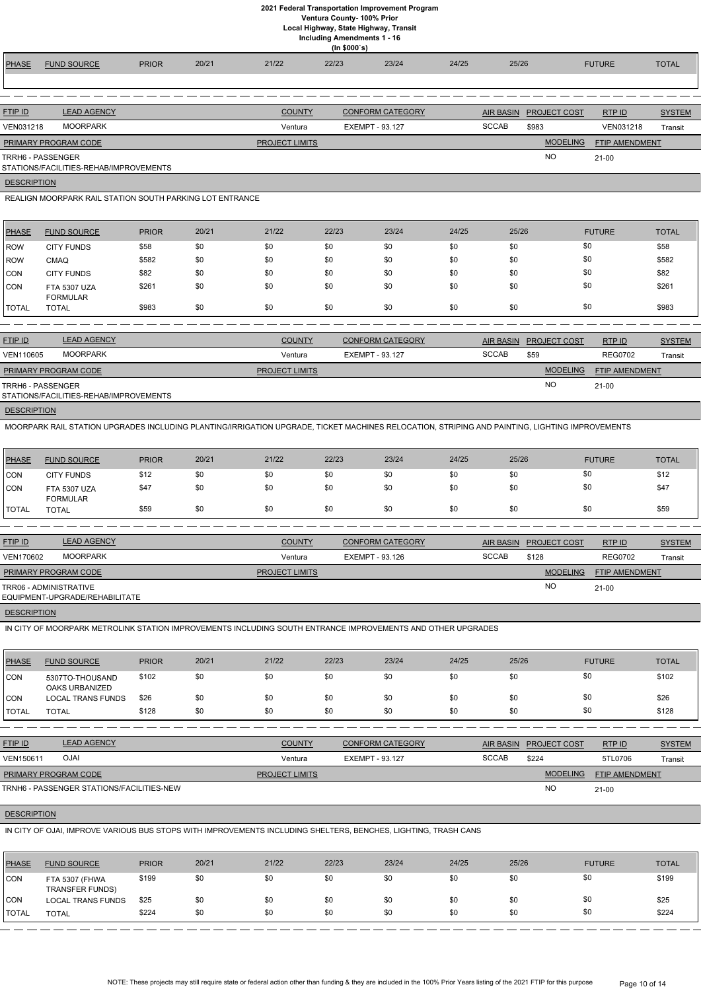**Ventura County- 100% Prior**

**Local Highway, State Highway, Transit**

| <b>Including Amendments 1 - 16</b> |  |  |  |
|------------------------------------|--|--|--|
|------------------------------------|--|--|--|

|                    |                                                                                                                                                |               |            |                       | (ln \$000's)           |                         |            |                                  |                     |                       |               |
|--------------------|------------------------------------------------------------------------------------------------------------------------------------------------|---------------|------------|-----------------------|------------------------|-------------------------|------------|----------------------------------|---------------------|-----------------------|---------------|
| <b>PHASE</b>       | <b>FUND SOURCE</b>                                                                                                                             | <b>PRIOR</b>  | 20/21      | 21/22                 | 22/23                  | 23/24                   | 24/25      | 25/26                            |                     | <b>FUTURE</b>         | <b>TOTAL</b>  |
|                    |                                                                                                                                                |               |            |                       |                        |                         |            |                                  |                     |                       |               |
|                    |                                                                                                                                                |               |            |                       |                        |                         |            |                                  |                     |                       |               |
| <b>FTIP ID</b>     | <b>LEAD AGENCY</b>                                                                                                                             |               |            | <b>COUNTY</b>         |                        | <b>CONFORM CATEGORY</b> |            |                                  |                     | RTP ID                |               |
|                    | <b>MOORPARK</b>                                                                                                                                |               |            |                       |                        |                         |            | <b>AIR BASIN</b><br><b>SCCAB</b> | <b>PROJECT COST</b> |                       | <b>SYSTEM</b> |
| VEN031218          |                                                                                                                                                |               |            | Ventura               | <b>EXEMPT - 93.127</b> |                         |            |                                  | \$983               | VEN031218             | Transit       |
|                    | PRIMARY PROGRAM CODE                                                                                                                           |               |            | <b>PROJECT LIMITS</b> |                        |                         |            |                                  | <b>MODELING</b>     | FTIP AMENDMENT        |               |
|                    | <b>TRRH6 - PASSENGER</b><br>STATIONS/FACILITIES-REHAB/IMPROVEMENTS                                                                             |               |            |                       |                        |                         |            |                                  | <b>NO</b>           | $21-00$               |               |
| <b>DESCRIPTION</b> |                                                                                                                                                |               |            |                       |                        |                         |            |                                  |                     |                       |               |
|                    | REALIGN MOORPARK RAIL STATION SOUTH PARKING LOT ENTRANCE                                                                                       |               |            |                       |                        |                         |            |                                  |                     |                       |               |
|                    |                                                                                                                                                |               |            |                       |                        |                         |            |                                  |                     |                       |               |
|                    |                                                                                                                                                |               | 20/21      | 21/22                 | 22/23                  | 23/24                   | 24/25      | 25/26                            |                     |                       |               |
| <b>PHASE</b>       | <b>FUND SOURCE</b>                                                                                                                             | <b>PRIOR</b>  |            |                       |                        |                         |            |                                  |                     | <b>FUTURE</b>         | <b>TOTAL</b>  |
| ROW                | <b>CITY FUNDS</b>                                                                                                                              | \$58          | \$0        | \$0                   | \$0                    | \$0                     | \$0        | \$0                              | \$0                 |                       | \$58          |
| ROW                | <b>CMAQ</b><br><b>CITY FUNDS</b>                                                                                                               | \$582<br>\$82 | \$0<br>\$0 | \$0<br>\$0            | \$0<br>\$0             | \$0<br>\$0              | \$0<br>\$0 | \$0<br>\$0                       | \$0<br>\$0          |                       | \$582<br>\$82 |
| CON<br>CON         |                                                                                                                                                | \$261         | \$0        | \$0                   | \$0                    | \$0                     | \$0        | \$0                              | \$0                 |                       | \$261         |
|                    | <b>FTA 5307 UZA</b><br><b>FORMULAR</b>                                                                                                         |               |            |                       |                        |                         |            |                                  |                     |                       |               |
| <b>TOTAL</b>       | <b>TOTAL</b>                                                                                                                                   | \$983         | \$0        | \$0                   | \$0                    | \$0                     | \$0        | \$0                              | \$0                 |                       | \$983         |
|                    |                                                                                                                                                |               |            |                       |                        |                         |            |                                  |                     |                       |               |
| FTIP ID            | <b>LEAD AGENCY</b>                                                                                                                             |               |            | <b>COUNTY</b>         |                        | <b>CONFORM CATEGORY</b> |            | <b>AIR BASIN</b>                 | <b>PROJECT COST</b> | RTP ID                | <b>SYSTEM</b> |
| VEN110605          | <b>MOORPARK</b>                                                                                                                                |               |            | Ventura               | <b>EXEMPT - 93.127</b> |                         |            | <b>SCCAB</b>                     | \$59                | <b>REG0702</b>        | Transit       |
|                    | PRIMARY PROGRAM CODE                                                                                                                           |               |            | <b>PROJECT LIMITS</b> |                        |                         |            |                                  | <b>MODELING</b>     | <b>FTIP AMENDMENT</b> |               |
|                    | TRRH6 - PASSENGER                                                                                                                              |               |            |                       |                        |                         |            |                                  | <b>NO</b>           | $21-00$               |               |
|                    | STATIONS/FACILITIES-REHAB/IMPROVEMENTS                                                                                                         |               |            |                       |                        |                         |            |                                  |                     |                       |               |
| <b>DESCRIPTION</b> |                                                                                                                                                |               |            |                       |                        |                         |            |                                  |                     |                       |               |
|                    | MOORPARK RAIL STATION UPGRADES INCLUDING PLANTING/IRRIGATION UPGRADE, TICKET MACHINES RELOCATION, STRIPING AND PAINTING, LIGHTING IMPROVEMENTS |               |            |                       |                        |                         |            |                                  |                     |                       |               |
|                    |                                                                                                                                                |               |            |                       |                        |                         |            |                                  |                     |                       |               |
|                    |                                                                                                                                                |               |            |                       |                        |                         |            |                                  |                     |                       |               |
| <b>PHASE</b>       | <b>FUND SOURCE</b>                                                                                                                             | <b>PRIOR</b>  | 20/21      | 21/22                 | 22/23                  | 23/24                   | 24/25      | 25/26                            |                     | <b>FUTURE</b>         | <b>TOTAL</b>  |
| <b>CON</b>         | <b>CITY FUNDS</b>                                                                                                                              | \$12          | \$0        | \$0                   | \$0                    | \$0                     | \$0        | \$0                              | \$0                 |                       | \$12          |
| CON                | <b>FTA 5307 UZA</b>                                                                                                                            | \$47          | \$0        | \$0                   | \$0                    | \$0                     | \$0        | \$0                              | \$0                 |                       | \$47          |
|                    | <b>FORMULAR</b>                                                                                                                                |               |            |                       |                        |                         |            |                                  |                     |                       |               |
| <b>TOTAL</b>       | <b>TOTAL</b>                                                                                                                                   | \$59          | \$0        | \$0                   | \$0                    | \$0                     | \$0        | \$0                              | \$0                 |                       | \$59          |
|                    |                                                                                                                                                |               |            |                       |                        |                         |            |                                  |                     |                       |               |
| <b>FTIP ID</b>     | <b>LEAD AGENCY</b>                                                                                                                             |               |            | <b>COUNTY</b>         |                        | <b>CONFORM CATEGORY</b> |            | <b>AIR BASIN</b>                 | <b>PROJECT COST</b> | <b>RTPID</b>          | <b>SYSTEM</b> |
| VEN170602          | <b>MOORPARK</b>                                                                                                                                |               |            | Ventura               | EXEMPT - 93.126        |                         |            | <b>SCCAB</b>                     | \$128               | <b>REG0702</b>        | Transit       |
|                    | PRIMARY PROGRAM CODE                                                                                                                           |               |            | <b>PROJECT LIMITS</b> |                        |                         |            |                                  | <b>MODELING</b>     | <b>FTIP AMENDMENT</b> |               |
|                    | TRR06 - ADMINISTRATIVE<br>EQUIPMENT-UPGRADE/REHABILITATE                                                                                       |               |            |                       |                        |                         |            |                                  | <b>NO</b>           | $21-00$               |               |
| <b>DESCRIPTION</b> |                                                                                                                                                |               |            |                       |                        |                         |            |                                  |                     |                       |               |
|                    | IN CITY OF MOORPARK METROLINK STATION IMPROVEMENTS INCLUDING SOUTH ENTRANCE IMPROVEMENTS AND OTHER UPGRADES                                    |               |            |                       |                        |                         |            |                                  |                     |                       |               |
|                    |                                                                                                                                                |               |            |                       |                        |                         |            |                                  |                     |                       |               |
|                    |                                                                                                                                                |               | 20/21      | 21/22                 | 22/23                  |                         |            |                                  |                     |                       |               |
| <b>PHASE</b>       | <b>FUND SOURCE</b>                                                                                                                             | <b>PRIOR</b>  |            |                       |                        | 23/24                   | 24/25      | 25/26                            |                     | <b>FUTURE</b>         | <b>TOTAL</b>  |
| CON                | 5307TO-THOUSAND<br>OAKS URBANIZED                                                                                                              | \$102         | \$0        | \$0                   | \$0                    | \$0                     | \$0        | \$0                              | \$0                 |                       | \$102         |
| <b>CON</b>         | <b>LOCAL TRANS FUNDS</b>                                                                                                                       | \$26          | \$0<br>\$0 | \$0<br>\$0            | \$0<br>\$0             | \$0<br>\$0              | \$0<br>\$0 | \$0<br>\$0                       | \$0<br>\$0          |                       | \$26<br>\$128 |

 $-- -$ 

ETIP ID LEAD AGENCY DE SYSTEM COUNTY CONFORM CATEGORY AIR BASIN PROJECT COST RTP ID SYSTEM STREM AND TRUP OF SA

 $- - - - - - - - - - -$ 

RTP ID

| VEN150611                   | NJO                                       | Ventura               | EXEMPT - 93.127 | <b>SCCAB</b> | \$224           | 5TL0706               | Transit |
|-----------------------------|-------------------------------------------|-----------------------|-----------------|--------------|-----------------|-----------------------|---------|
| <b>PRIMARY PROGRAM CODE</b> |                                           | <b>PROJECT LIMITS</b> |                 |              | <b>MODELING</b> | <b>FTIP AMENDMENT</b> |         |
|                             | TRNH6 - PASSENGER STATIONS/FACILITIES-NEW |                       |                 |              | <b>NC</b>       | $21 - 00$             |         |

# **DESCRIPTION**

IN CITY OF OJAI, IMPROVE VARIOUS BUS STOPS WITH IMPROVEMENTS INCLUDING SHELTERS, BENCHES, LIGHTING, TRASH CANS

| PHASE        | <b>FUND SOURCE</b>                       | <b>PRIOR</b> | 20/21 | 21/22 | 22/23 | 23/24 | 24/25 | 25/26 | <b>FUTURE</b> | TOTAL |
|--------------|------------------------------------------|--------------|-------|-------|-------|-------|-------|-------|---------------|-------|
| <b>CON</b>   | FTA 5307 (FHWA<br><b>TRANSFER FUNDS)</b> | \$199        | \$0   | \$0   | \$0   | \$0   | \$0   | \$0   | \$0           | \$199 |
| CON          | <b>LOCAL TRANS FUNDS</b>                 | \$25         | \$0   | \$0   | \$0   | \$0   | \$0   | \$0   | \$0           | \$25  |
| <b>TOTAL</b> | <b>TOTAL</b>                             | \$224        | \$0   | \$0   | \$0   | \$0   | \$0   | \$0   | \$0           | \$224 |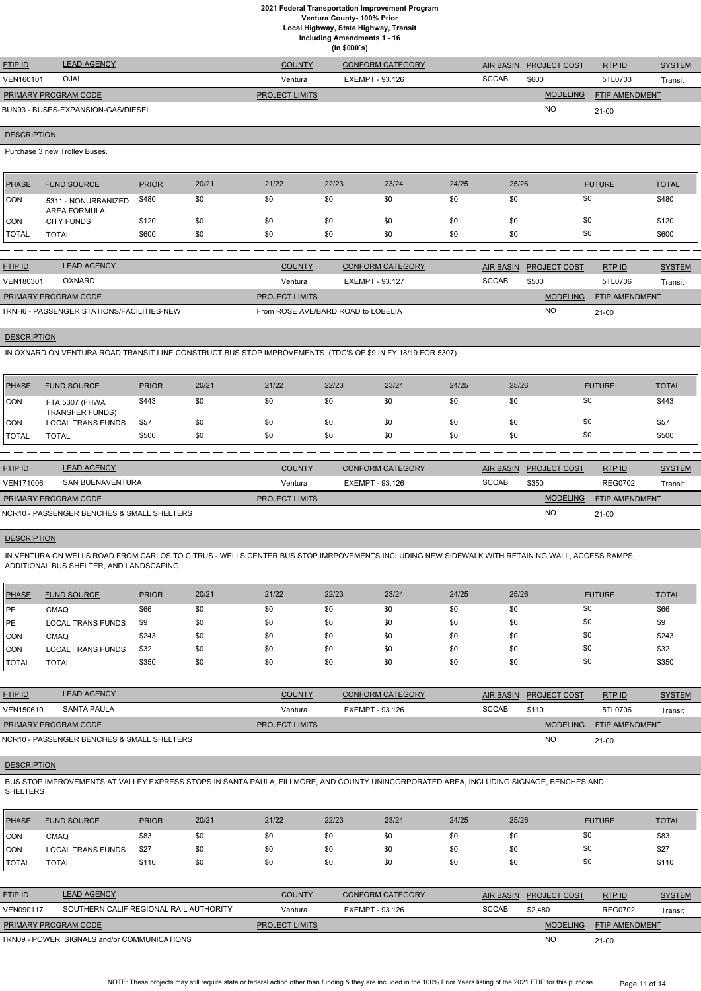**Ventura County- 100% Prior**

**Local Highway, State Highway, Transit**

**Including Amendments 1 - 16**

|  | (ln \$000's) |  |
|--|--------------|--|
|--|--------------|--|

| <b>FTIP ID</b>              | <b>LEAD AGENCY</b>                 | <b>COUNTY</b>         | <b>CONFORM CATEGORY</b> | <b>AIR BASIN</b> | <b>PROJECT COST</b> | RTPID                 | <b>SYSTEM</b> |
|-----------------------------|------------------------------------|-----------------------|-------------------------|------------------|---------------------|-----------------------|---------------|
| VEN160101                   | <b>IALO</b>                        | Ventura               | EXEMPT - 93.126         | <b>SCCAB</b>     | \$600               | 5TL0703               | Transit       |
| <b>PRIMARY PROGRAM CODE</b> |                                    | <b>PROJECT LIMITS</b> |                         |                  | <b>MODELING</b>     | <b>FTIP AMENDMENT</b> |               |
|                             | BUN93 - BUSES-EXPANSION-GAS/DIESEL |                       |                         |                  | <b>NO</b>           | $21 - 00$             |               |

# **DESCRIPTION**

Purchase 3 new Trolley Buses.

| <b>PHASE</b> | <b>FUND SOURCE</b>                  | <b>PRIOR</b> | 20/21 | 21/22 | 22/23 | 23/24 | 24/25 | 25/26 | <b>FUTURE</b> | <b>TOTAL</b> |
|--------------|-------------------------------------|--------------|-------|-------|-------|-------|-------|-------|---------------|--------------|
| CON          | 5311 - NONURBANIZED<br>AREA FORMULA | \$480        | \$0   | \$0   | \$0   | \$0   | \$0   |       | \$0           | \$480        |
| CON          | <b>CITY FUNDS</b>                   | \$120        | \$0   | \$0   | \$0   | \$0   | \$0   |       | \$0           | \$120        |
| 'TOTAL       | <b>TOTAL</b>                        | \$600        | \$0   | \$0   | \$0   | \$0   | \$0   | \$0   | \$0           | \$600        |

| <b>FTIP ID</b>                            | <b>LEAD AGENCY</b> | <b>COUNTY</b>                      | CONFORM CATEGORY |              | AIR BASIN PROJECT COST | RTP ID                | <b>SYSTEM</b> |
|-------------------------------------------|--------------------|------------------------------------|------------------|--------------|------------------------|-----------------------|---------------|
| <b>VEN180301</b>                          | <b>OXNARD</b>      | Ventura                            | EXEMPT - 93.127  | <b>SCCAB</b> | \$500                  | 5TL0706               | Transit       |
| <b>PRIMARY PROGRAM CODE</b>               |                    | <b>PROJECT LIMITS</b>              |                  |              | <b>MODELING</b>        | <b>FTIP AMENDMENT</b> |               |
| TRNH6 - PASSENGER STATIONS/FACILITIES-NEW |                    | From ROSE AVE/BARD ROAD to LOBELIA |                  | <b>NC</b>    | $21 - 00$              |                       |               |

#### **DESCRIPTION**

IN OXNARD ON VENTURA ROAD TRANSIT LINE CONSTRUCT BUS STOP IMPROVEMENTS. (TDC'S OF \$9 IN FY 18/19 FOR 5307).

| <b>PHASE</b>   | <b>FUND SOURCE</b>                       | <b>PRIOR</b> | 20/21 | 21/22 | 22/23 | 23/24 | 24/25 | 25/26 | <b>FUTURE</b> | <b>TOTAL</b> |
|----------------|------------------------------------------|--------------|-------|-------|-------|-------|-------|-------|---------------|--------------|
| CON            | FTA 5307 (FHWA<br><b>TRANSFER FUNDS)</b> | \$443        | \$0   | \$0   |       | \$0   | \$0   | \$0   | \$0           | \$443        |
| CON            | <b>LOCAL TRANS FUNDS</b>                 | \$57         | \$0   | \$0   | \$0   | \$0   | \$0   | \$0   | \$0           | \$57         |
| <b>I</b> TOTAL | <b>TOTAL</b>                             | \$500        | \$0   | \$0   | \$0   | \$0   | \$0   | \$0   | \$0           | \$500        |

| <b>FTIP ID</b>              | <b>LEAD AGENCY</b>                         | <b>COUNTY</b>         | CONFORM CATEGORY | AIR BASIN    | <b>PROJECT COST</b> | RTPID                 | <b>SYSTEM</b> |
|-----------------------------|--------------------------------------------|-----------------------|------------------|--------------|---------------------|-----------------------|---------------|
| <b>VEN171006</b>            | SAN BUENAVENTURA                           | Ventura               | EXEMPT - 93.126  | <b>SCCAB</b> | \$350               | <b>REG0702</b>        | Transit       |
| <b>PRIMARY PROGRAM CODE</b> |                                            | <b>PROJECT LIMITS</b> |                  |              | <b>MODELING</b>     | <b>FTIP AMENDMENT</b> |               |
|                             | NCR10 - PASSENGER BENCHES & SMALL SHELTERS |                       |                  |              | <b>NO</b>           | $21-00$               |               |

# **DESCRIPTION**

IN VENTURA ON WELLS ROAD FROM CARLOS TO CITRUS - WELLS CENTER BUS STOP IMRPOVEMENTS INCLUDING NEW SIDEWALK WITH RETAINING WALL, ACCESS RAMPS, ADDITIONAL BUS SHELTER, AND LANDSCAPING

| <b>PHASE</b> | <b>FUND SOURCE</b>       | <b>PRIOR</b> | 20/21 | 21/22 | 22/23 | 23/24 | 24/25 | 25/26 | <b>FUTURE</b> | <b>TOTAL</b> |
|--------------|--------------------------|--------------|-------|-------|-------|-------|-------|-------|---------------|--------------|
| PE           | <b>CMAQ</b>              | \$66         | \$0   | \$0   | \$0   | \$0   | \$0   | \$0   | \$0           | \$66         |
| PE           | <b>LOCAL TRANS FUNDS</b> | \$9          | \$0   | \$0   | \$0   | \$0   | \$0   | \$0   | \$0           | \$9          |
| <b>CON</b>   | <b>CMAQ</b>              | \$243        | \$0   | \$0   | \$0   | \$0   | \$0   | \$0   | \$0           | \$243        |
| <b>CON</b>   | <b>LOCAL TRANS FUNDS</b> | \$32         | \$0   | \$0   | \$0   | \$0   | \$0   | \$0   | \$0           | \$32         |
| TOTAL        | TOTAL                    | \$350        | \$0   | \$0   | \$0   | \$0   | \$0   | \$0   | \$0           | \$350        |

| <b>FTIP ID</b>              | <b>LEAD AGENCY</b>                         | <b>COUNTY</b>         | <b>CONFORM CATEGORY</b> | AIR BASIN    | <b>PROJECT COST</b> | RTPID                 | <u>SYSTEM</u> |
|-----------------------------|--------------------------------------------|-----------------------|-------------------------|--------------|---------------------|-----------------------|---------------|
| VEN150610                   | SANTA PAULA                                | Ventura               | EXEMPT - 93.126         | <b>SCCAB</b> | \$110               | 5TL0706               | Transit       |
| <b>PRIMARY PROGRAM CODE</b> |                                            | <b>PROJECT LIMITS</b> |                         |              | <b>MODELING</b>     | <b>FTIP AMENDMENT</b> |               |
|                             | NCR10 - PASSENGER BENCHES & SMALL SHELTERS |                       |                         |              | <b>NC</b>           | 21-00                 |               |

BUS STOP IMPROVEMENTS AT VALLEY EXPRESS STOPS IN SANTA PAULA, FILLMORE, AND COUNTY UNINCORPORATED AREA, INCLUDING SIGNAGE, BENCHES AND SHELTERS

| <b>PHASE</b>     | <b>FUND SOURCE</b>                           | <b>PRIOR</b> | 20/21 | 21/22                 | 22/23           | 23/24                   | 24/25 | 25/26            |                     | <b>FUTURE</b>         | <b>TOTAL</b>  |
|------------------|----------------------------------------------|--------------|-------|-----------------------|-----------------|-------------------------|-------|------------------|---------------------|-----------------------|---------------|
| ICON             | CMAQ                                         | \$83         | \$0   | \$0                   | \$0             | \$0                     | \$0   | \$0              |                     | \$0                   | \$83          |
| <b>ICON</b>      | <b>LOCAL TRANS FUNDS</b>                     | \$27         | \$0   | \$0                   | \$0             | \$0                     | \$0   | \$0              |                     | \$0                   | \$27          |
| <b>ITOTAL</b>    | <b>TOTAL</b>                                 | \$110        | \$0   | \$0                   | \$0             | \$0                     | \$0   | \$0              |                     | \$0                   | \$110         |
|                  |                                              |              |       |                       |                 |                         |       |                  |                     |                       |               |
| <b>FTIP ID</b>   | <b>LEAD AGENCY</b>                           |              |       | <b>COUNTY</b>         |                 | <b>CONFORM CATEGORY</b> |       | <b>AIR BASIN</b> | <b>PROJECT COST</b> | RTPID                 | <b>SYSTEM</b> |
| <b>VEN090117</b> | SOUTHERN CALIF REGIONAL RAIL AUTHORITY       |              |       | Ventura               | EXEMPT - 93.126 |                         |       | <b>SCCAB</b>     | \$2.480             | <b>REG0702</b>        | Transit       |
|                  | PRIMARY PROGRAM CODE                         |              |       | <b>PROJECT LIMITS</b> |                 |                         |       |                  | <b>MODELING</b>     | <b>FTIP AMENDMENT</b> |               |
|                  | TRN09 - POWER, SIGNALS and/or COMMUNICATIONS |              |       |                       |                 |                         |       |                  | N <sub>O</sub>      | $21 - 00$             |               |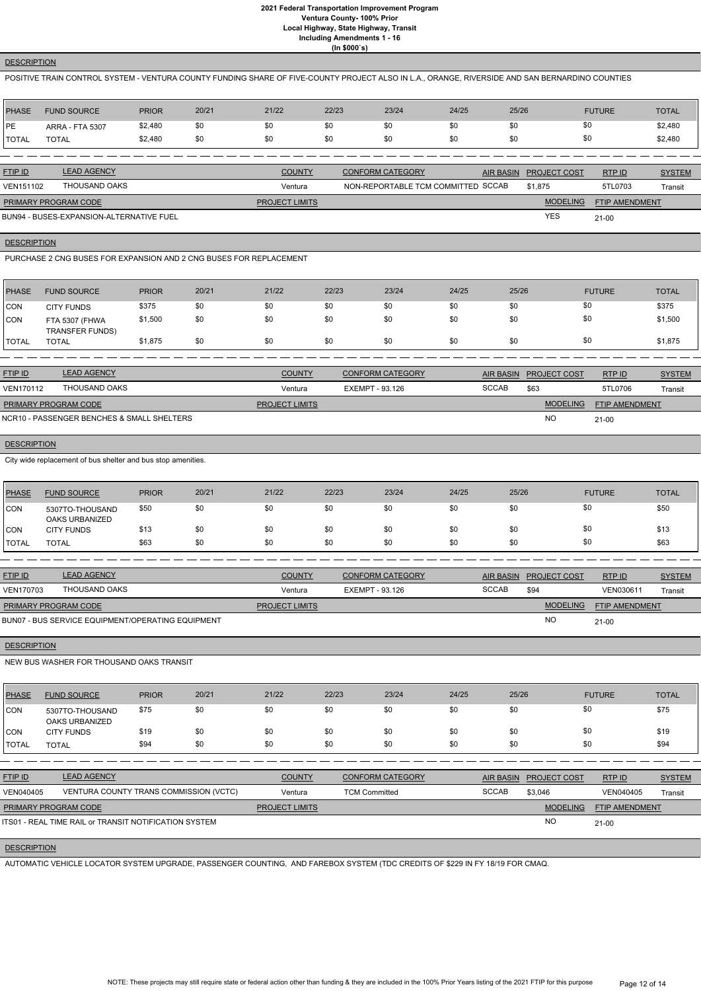## **DESCRIPTION**

POSITIVE TRAIN CONTROL SYSTEM - VENTURA COUNTY FUNDING SHARE OF FIVE-COUNTY PROJECT ALSO IN L.A., ORANGE, RIVERSIDE AND SAN BERNARDINO COUNTIES

| PHASE        | <b>FUND SOURCE</b>     | <b>PRIOR</b> | 20/21 | 21/22 | 22/23 | 23/24 | 24/25 | 25/26 | <b>FUTURE</b> | <b>TOTAL</b> |
|--------------|------------------------|--------------|-------|-------|-------|-------|-------|-------|---------------|--------------|
| <b>IPE</b>   | <b>ARRA - FTA 5307</b> | \$2,480      | \$0   | \$0   |       | \$0   | \$0   | \$0   | \$0           | \$2,480      |
| <b>TOTAL</b> | <b>TOTAL</b>           | \$2,480      | \$0   | \$C   | \$0   | \$0   | \$0   | \$0   | \$0           | \$2,480      |

| <b>FTIP ID</b>       | <b>LEAD AGENCY</b>                       | <b>COUNTY</b>         | <b>CONFORM CATEGORY</b>            | AIR BASIN PROJECT COST | RTPID                 | <b>SYSTEM</b> |
|----------------------|------------------------------------------|-----------------------|------------------------------------|------------------------|-----------------------|---------------|
| VEN151102            | THOUSAND OAKS                            | Ventura               | NON-REPORTABLE TCM COMMITTED SCCAB | \$1,875                | 5TL0703               | Transit       |
| PRIMARY PROGRAM CODE |                                          | <b>PROJECT LIMITS</b> |                                    | <b>MODELING</b>        | <b>FTIP AMENDMENT</b> |               |
|                      | BUN94 - BUSES-EXPANSION-ALTERNATIVE FUEL |                       |                                    | <b>YES</b>             | 21-00                 |               |

BUN94 - BUSES-EXPANSION-ALTERNATIVE FUEL

## **DESCRIPTION**

PURCHASE 2 CNG BUSES FOR EXPANSION AND 2 CNG BUSES FOR REPLACEMENT

| <b>PHASE</b>  | <b>FUND SOURCE</b>                       | <b>PRIOR</b> | 20/21 | 21/22 | 22/23 | 23/24 | 24/25 | 25/26 | <b>FUTURE</b> | <b>TOTAL</b> |
|---------------|------------------------------------------|--------------|-------|-------|-------|-------|-------|-------|---------------|--------------|
| CON           | <b>CITY FUNDS</b>                        | \$375        | \$0   | \$0   | \$0   | \$0   | \$0   | \$0   | \$0           | \$375        |
| <b>CON</b>    | FTA 5307 (FHWA<br><b>TRANSFER FUNDS)</b> | \$1,500      | \$0   | \$0   | \$0   | \$0   | \$0   | \$0   | \$0           | \$1,500      |
| <b>ITOTAL</b> | <b>TOTAL</b>                             | \$1,875      | \$0   | \$0   | \$0   | \$0   | \$0   | \$0   | \$0           | \$1,875      |

| <b>FTIP ID</b>              | <b>LEAD AGENCY</b>                         | <b>COUNTY</b>         | <b>CONFORM CATEGORY</b> |              | AIR BASIN PROJECT COST | RTP ID                | <b>SYSTEM</b> |
|-----------------------------|--------------------------------------------|-----------------------|-------------------------|--------------|------------------------|-----------------------|---------------|
| <b>VEN170112</b>            | THOUSAND OAKS                              | Ventura               | EXEMPT - 93.126         | <b>SCCAB</b> | \$63                   | 5TL0706               | Transit       |
| <b>PRIMARY PROGRAM CODE</b> |                                            | <b>PROJECT LIMITS</b> |                         |              | <b>MODELING</b>        | <b>FTIP AMENDMENT</b> |               |
|                             | NCR10 - PASSENGER BENCHES & SMALL SHELTERS |                       |                         |              | <b>NO</b>              | $21-00$               |               |

## **DESCRIPTION**

City wide replacement of bus shelter and bus stop amenities.

| PHASE               | <b>FUND SOURCE</b>                | <b>PRIOR</b> | 20/21 | 21/22 | 22/23 | 23/24 | 24/25 | 25/26 | <b>FUTURE</b> | <b>TOTAL</b> |
|---------------------|-----------------------------------|--------------|-------|-------|-------|-------|-------|-------|---------------|--------------|
| <b>CON</b>          | 5307TO-THOUSAND<br>OAKS URBANIZED | \$50         | \$0   | \$0   | \$0   | \$0   | \$0   | \$0   | \$0           | \$50         |
| <b>CON</b>          | <b>CITY FUNDS</b>                 | \$13         | \$0   | \$0   | \$0   | \$0   | \$0   | \$0   | \$0           | \$13         |
| <b><i>TOTAL</i></b> | <b>TOTAL</b>                      | \$63         | \$0   | \$0   | \$0   | \$0   | \$0   | \$0   | \$0           | \$63         |

| <b>FTIP ID</b>              | <b>LEAD AGENCY</b>                                | <b>COUNTY</b>         | CONFORM CATEGORY |       | AIR BASIN PROJECT COST | RTPID                 | <b>SYSTEM</b> |
|-----------------------------|---------------------------------------------------|-----------------------|------------------|-------|------------------------|-----------------------|---------------|
| <b>VEN170703</b>            | THOUSAND OAKS                                     | Ventura               | EXEMPT - 93.126  | SCCAB | \$94                   | VEN030611             | Transit       |
| <b>PRIMARY PROGRAM CODE</b> |                                                   | <b>PROJECT LIMITS</b> |                  |       | <b>MODELING</b>        | <b>FTIP AMENDMENT</b> |               |
|                             | BUN07 - BUS SERVICE EQUIPMENT/OPERATING EQUIPMENT |                       |                  |       | <b>NO</b>              | $21 - 00$             |               |

# **DESCRIPTION**

NEW BUS WASHER FOR THOUSAND OAKS TRANSIT

| PHASE        | <b>FUND SOURCE</b>                       | <b>PRIOR</b> | 20/21 | 21/22 | 22/23 | 23/24 | 24/25 | 25/26 | <b>FUTURE</b> | <b>TOTAL</b> |
|--------------|------------------------------------------|--------------|-------|-------|-------|-------|-------|-------|---------------|--------------|
| CON          | 5307TO-THOUSAND<br><b>OAKS URBANIZED</b> | \$75         | \$0   | \$0   | \$0   | \$0   | \$0   | \$0   | \$0           | \$75         |
| <b>CON</b>   | <b>CITY FUNDS</b>                        | \$19         | \$0   | \$0   | \$0   | \$0   | \$0   | \$0   | \$0           | \$19         |
| <b>TOTAL</b> | <b>TOTAL</b>                             | \$94         | \$0   | \$0   | \$0   | \$0   | \$0   | \$0   | \$0           | \$94         |

| <b>FTIP ID</b>              | <b>LEAD AGENCY</b>                                    | <b>COUNTY</b>         | <b>CONFORM CATEGORY</b> |              | AIR BASIN PROJECT COST | RTP ID         | <b>SYSTEM</b> |
|-----------------------------|-------------------------------------------------------|-----------------------|-------------------------|--------------|------------------------|----------------|---------------|
| VEN040405                   | VENTURA COUNTY TRANS COMMISSION (VCTC)                |                       | <b>TCM Committed</b>    | <b>SCCAB</b> | \$3,046                | VEN040405      | Transit       |
| <b>PRIMARY PROGRAM CODE</b> |                                                       | <b>PROJECT LIMITS</b> |                         |              | <b>MODELING</b>        | FTIP AMENDMENT |               |
|                             | ITS01 - REAL TIME RAIL or TRANSIT NOTIFICATION SYSTEM |                       |                         |              | <b>NO</b>              | $21 - 00$      |               |
|                             |                                                       |                       |                         |              |                        |                |               |

## **DESCRIPTION**

AUTOMATIC VEHICLE LOCATOR SYSTEM UPGRADE, PASSENGER COUNTING, AND FAREBOX SYSTEM (TDC CREDITS OF \$229 IN FY 18/19 FOR CMAQ.

NOTE: These projects may still require state or federal action other than funding & they are included in the 100% Prior Years listing of the 2021 FTIP for this purpose Page 12 of 14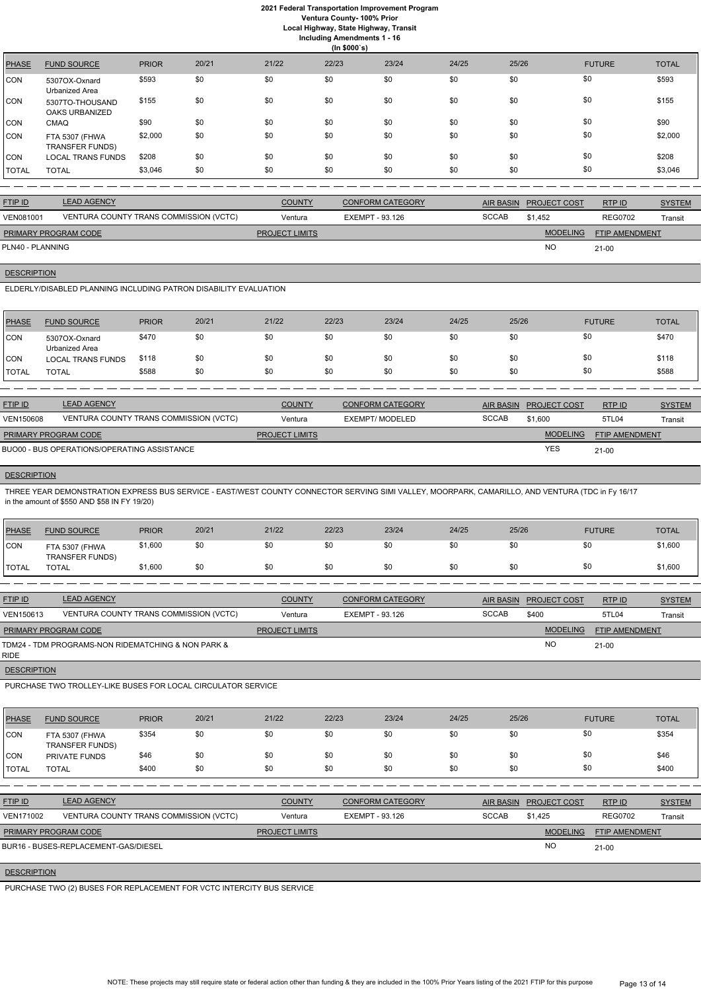# **2021 Federal Transportation Improvement Program Ventura County- 100% Prior**

**Local Highway, State Highway, Transit**

**Including Amendments 1 - 16**

|  | בווסוומוופות צוון |  |
|--|-------------------|--|
|  | (ln \$000's)      |  |

|              | $\cdots$ your $\bullet$                  |              |       |       |       |       |       |       |               |              |
|--------------|------------------------------------------|--------------|-------|-------|-------|-------|-------|-------|---------------|--------------|
| <b>PHASE</b> | <b>FUND SOURCE</b>                       | <b>PRIOR</b> | 20/21 | 21/22 | 22/23 | 23/24 | 24/25 | 25/26 | <b>FUTURE</b> | <b>TOTAL</b> |
| <b>CON</b>   | 5307OX-Oxnard<br>Urbanized Area          | \$593        | \$0   | \$0   | \$0   | \$0   | \$0   | \$0   | \$0           | \$593        |
| <b>CON</b>   | 5307TO-THOUSAND<br>OAKS URBANIZED        | \$155        | \$0   | \$0   | \$0   | \$0   | \$0   | \$0   | \$0           | \$155        |
| <b>CON</b>   | <b>CMAQ</b>                              | \$90         | \$0   | \$0   | \$0   | \$0   | \$0   | \$0   | \$0           | \$90         |
| <b>CON</b>   | FTA 5307 (FHWA<br><b>TRANSFER FUNDS)</b> | \$2,000      | \$0   | \$0   | \$0   | \$0   | \$0   | \$0   | \$0           | \$2,000      |
| <b>CON</b>   | <b>LOCAL TRANS FUNDS</b>                 | \$208        | \$0   | \$0   | \$0   | \$0   | \$0   | \$0   | \$0           | \$208        |
| <b>TOTAL</b> | <b>TOTAL</b>                             | \$3,046      | \$0   | \$0   | \$0   | \$0   | \$0   | \$0   | \$0           | \$3,046      |

| <b>FTIP ID</b>              | <b>LEAD AGENCY</b>                     | <b>COUNTY</b>         | <b>CONFORM CATEGORY</b> |              | AIR BASIN PROJECT COST | RTPID                 | <b>SYSTEM</b> |
|-----------------------------|----------------------------------------|-----------------------|-------------------------|--------------|------------------------|-----------------------|---------------|
| <b>VEN081001</b>            | VENTURA COUNTY TRANS COMMISSION (VCTC) | Ventura               | EXEMPT - 93.126         | <b>SCCAB</b> | \$1.452                | <b>REG0702</b>        | Transit       |
| <b>PRIMARY PROGRAM CODE</b> |                                        | <b>PROJECT LIMITS</b> |                         |              | <b>MODELING</b>        | <b>FTIP AMENDMENT</b> |               |
| PLN40 - PLANNING            |                                        |                       |                         |              | NO                     | $21 - 00$             |               |

**DESCRIPTION** 

ELDERLY/DISABLED PLANNING INCLUDING PATRON DISABILITY EVALUATION

| PHASE                | <b>FUND SOURCE</b>                          | <b>PRIOR</b> | 20/21                 | 21/22         | 22/23 | 23/24                   | 24/25 | 25/26            |                       | <b>FUTURE</b> | <b>TOTAL</b>  |
|----------------------|---------------------------------------------|--------------|-----------------------|---------------|-------|-------------------------|-------|------------------|-----------------------|---------------|---------------|
| ICON                 | 5307OX-Oxnard<br>Urbanized Area             | \$470        | \$0                   | \$0           | \$0   | \$0                     | \$0   | \$0              | \$0                   |               | \$470         |
| ICON                 | <b>LOCAL TRANS FUNDS</b>                    | \$118        | \$0                   | \$0           | \$0   | \$0                     | \$0   | \$0              | \$0                   |               | \$118         |
| <b>TOTAL</b>         | <b>TOTAL</b>                                | \$588        | \$0                   | \$0           | \$0   | \$0                     | \$0   | \$0              | \$0                   |               | \$588         |
|                      |                                             |              |                       |               |       |                         |       |                  |                       |               |               |
| FTIP ID              | <b>LEAD AGENCY</b>                          |              |                       | <b>COUNTY</b> |       | <b>CONFORM CATEGORY</b> |       | <b>AIR BASIN</b> | <b>PROJECT COST</b>   | RTPID         | <b>SYSTEM</b> |
| <b>VEN150608</b>     | VENTURA COUNTY TRANS COMMISSION (VCTC)      |              |                       | Ventura       |       | <b>EXEMPT/ MODELED</b>  |       | <b>SCCAB</b>     | \$1.600               | 5TL04         | Transit       |
| PRIMARY PROGRAM CODE |                                             |              | <b>PROJECT LIMITS</b> |               |       |                         |       | <b>MODELING</b>  | <b>FTIP AMENDMENT</b> |               |               |
|                      | BUO00 - BUS OPERATIONS/OPERATING ASSISTANCE |              |                       |               |       |                         |       |                  | <b>YES</b>            | $21 - 00$     |               |

# **DESCRIPTION**

THREE YEAR DEMONSTRATION EXPRESS BUS SERVICE - EAST/WEST COUNTY CONNECTOR SERVING SIMI VALLEY, MOORPARK, CAMARILLO, AND VENTURA (TDC in Fy 16/17 in the amount of \$550 AND \$58 IN FY 19/20)

| <b>PHASE</b> | <b>FUND SOURCE</b>                       | <b>PRIOR</b> | 20/21 | 21/22 | 22/23 | 23/24 | 24/25 | 25/26 | <b>FUTURE</b> | <b>TOTAL</b> |
|--------------|------------------------------------------|--------------|-------|-------|-------|-------|-------|-------|---------------|--------------|
| <b>CON</b>   | FTA 5307 (FHWA<br><b>TRANSFER FUNDS)</b> | \$1,600      | งบ    | \$0   |       | \$0   | \$0   |       | \$0           | \$1,600      |
| <b>TOTAL</b> | <b>TOTAL</b>                             | \$1,600      | \$0   | \$0   |       | \$0   | \$0   | \$0   | \$0           | \$1,600      |

| <b>FTIP ID</b>              | <b>LEAD AGENCY</b>                                 | <b>COUNTY</b>         | <b>CONFORM CATEGORY</b> |              | AIR BASIN PROJECT COST | <b>RTPID</b>          | <b>SYSTEM</b> |
|-----------------------------|----------------------------------------------------|-----------------------|-------------------------|--------------|------------------------|-----------------------|---------------|
| VEN150613                   | VENTURA COUNTY TRANS COMMISSION (VCTC)             | Ventura               | EXEMPT - 93.126         | <b>SCCAB</b> | \$400                  | 5TL04                 | Transit       |
| <b>PRIMARY PROGRAM CODE</b> |                                                    | <b>PROJECT LIMITS</b> |                         |              | <b>MODELING</b>        | <b>FTIP AMENDMENT</b> |               |
| RIDE                        | TDM24 - TDM PROGRAMS-NON RIDEMATCHING & NON PARK & |                       |                         |              | <b>NO</b>              | $21-00$               |               |

# **DESCRIPTION**

PURCHASE TWO TROLLEY-LIKE BUSES FOR LOCAL CIRCULATOR SERVICE

| PHASE | <b>FUND SOURCE</b>                       | <b>PRIOR</b> | 20/21 | 21/22 | 22/23 | 23/24 | 24/25 | 25/26 | <b>FUTURE</b> | <b>TOTAL</b> |
|-------|------------------------------------------|--------------|-------|-------|-------|-------|-------|-------|---------------|--------------|
| CON   | FTA 5307 (FHWA<br><b>TRANSFER FUNDS)</b> | \$354        | \$0   | \$0   | \$0   |       |       |       |               | \$354        |

| <b>CON</b>     | <b>PRIVATE FUNDS</b>                 | \$46  | \$0                                    | \$0                   | \$0 | \$0                     | \$0 | \$0              | \$0                 |                       | \$46          |
|----------------|--------------------------------------|-------|----------------------------------------|-----------------------|-----|-------------------------|-----|------------------|---------------------|-----------------------|---------------|
| <b>TOTAL</b>   | <b>TOTAL</b>                         | \$400 | \$0                                    | \$0                   | \$0 | \$0                     | \$0 | \$0              | \$0                 |                       | \$400         |
|                |                                      |       |                                        |                       |     |                         |     |                  |                     |                       |               |
| <b>FTIP ID</b> | <b>LEAD AGENCY</b>                   |       |                                        | <b>COUNTY</b>         |     | <b>CONFORM CATEGORY</b> |     | <b>AIR BASIN</b> | <b>PROJECT COST</b> | RTPID                 | <b>SYSTEM</b> |
| VEN171002      |                                      |       | VENTURA COUNTY TRANS COMMISSION (VCTC) | Ventura               |     | EXEMPT - 93.126         |     | <b>SCCAB</b>     | \$1.425             | <b>REG0702</b>        | Transit       |
|                | <b>PRIMARY PROGRAM CODE</b>          |       |                                        | <b>PROJECT LIMITS</b> |     |                         |     |                  | <b>MODELING</b>     | <b>FTIP AMENDMENT</b> |               |
|                | BUR16 - BUSES-REPLACEMENT-GAS/DIESEL |       |                                        |                       |     |                         |     |                  | <b>NO</b>           | $21 - 00$             |               |

# **DESCRIPTION**

PURCHASE TWO (2) BUSES FOR REPLACEMENT FOR VCTC INTERCITY BUS SERVICE